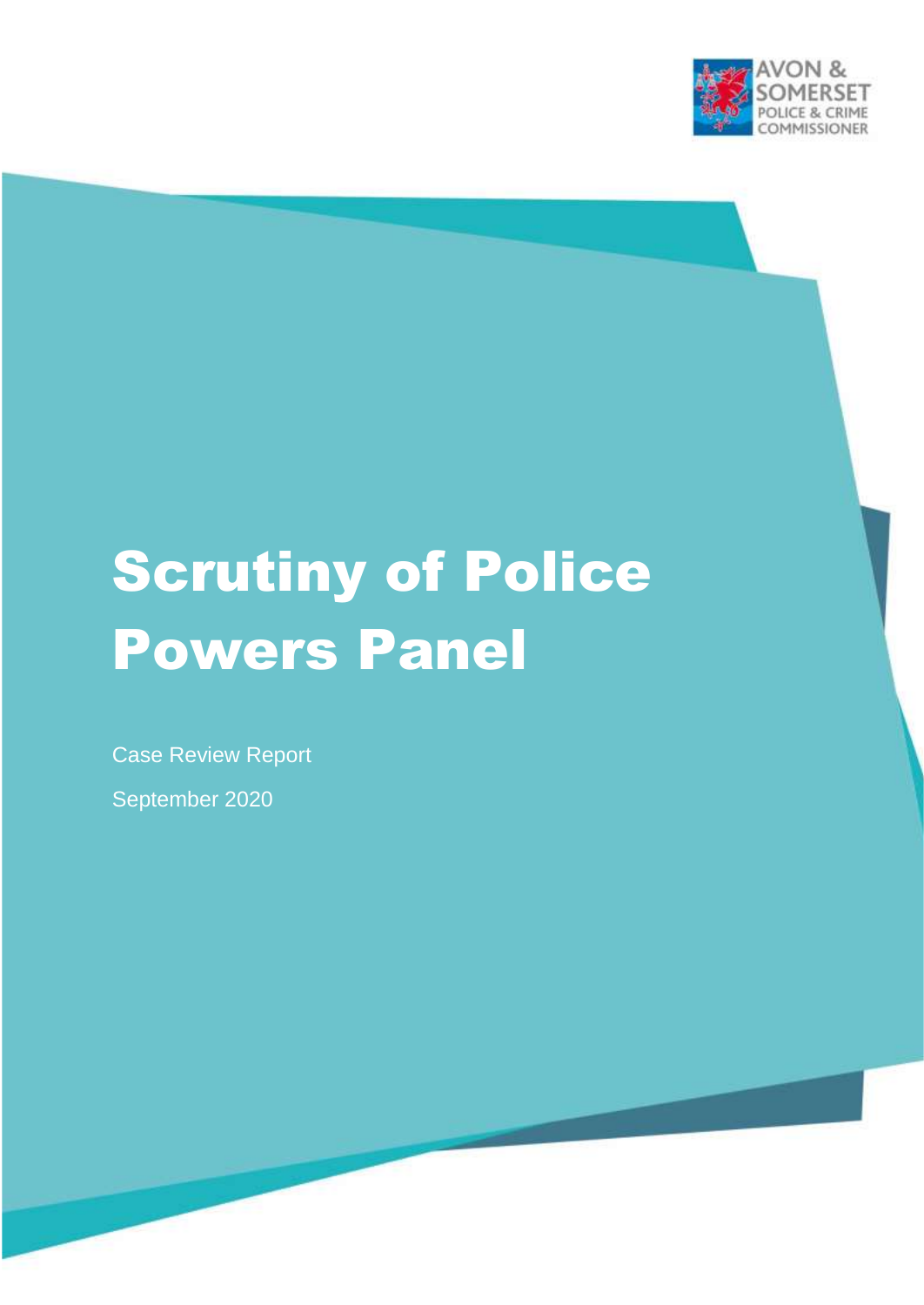

# Scrutiny of Police Powers Panel

Case Review Report

September 2020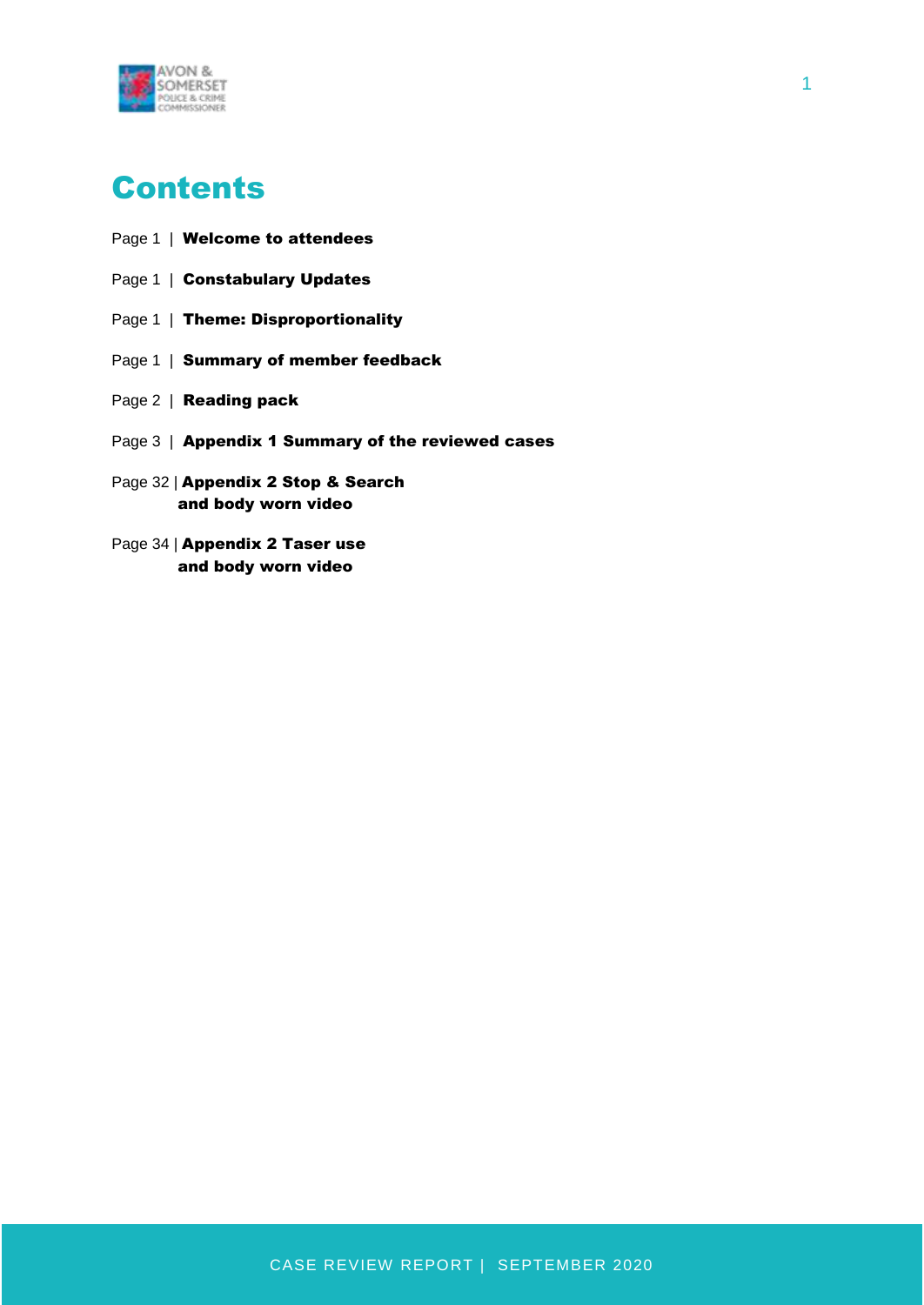

- Page 1 | Welcome to attendees
- Page 1 | Constabulary Updates
- Page 1 | Theme: Disproportionality
- Page 1 | Summary of member feedback
- Page 2 | **Reading pack**
- Page 3 | Appendix 1 Summary of the reviewed cases
- Page 32 | Appendix 2 Stop & Search and body worn video
- Page 34 | Appendix 2 Taser use and body worn video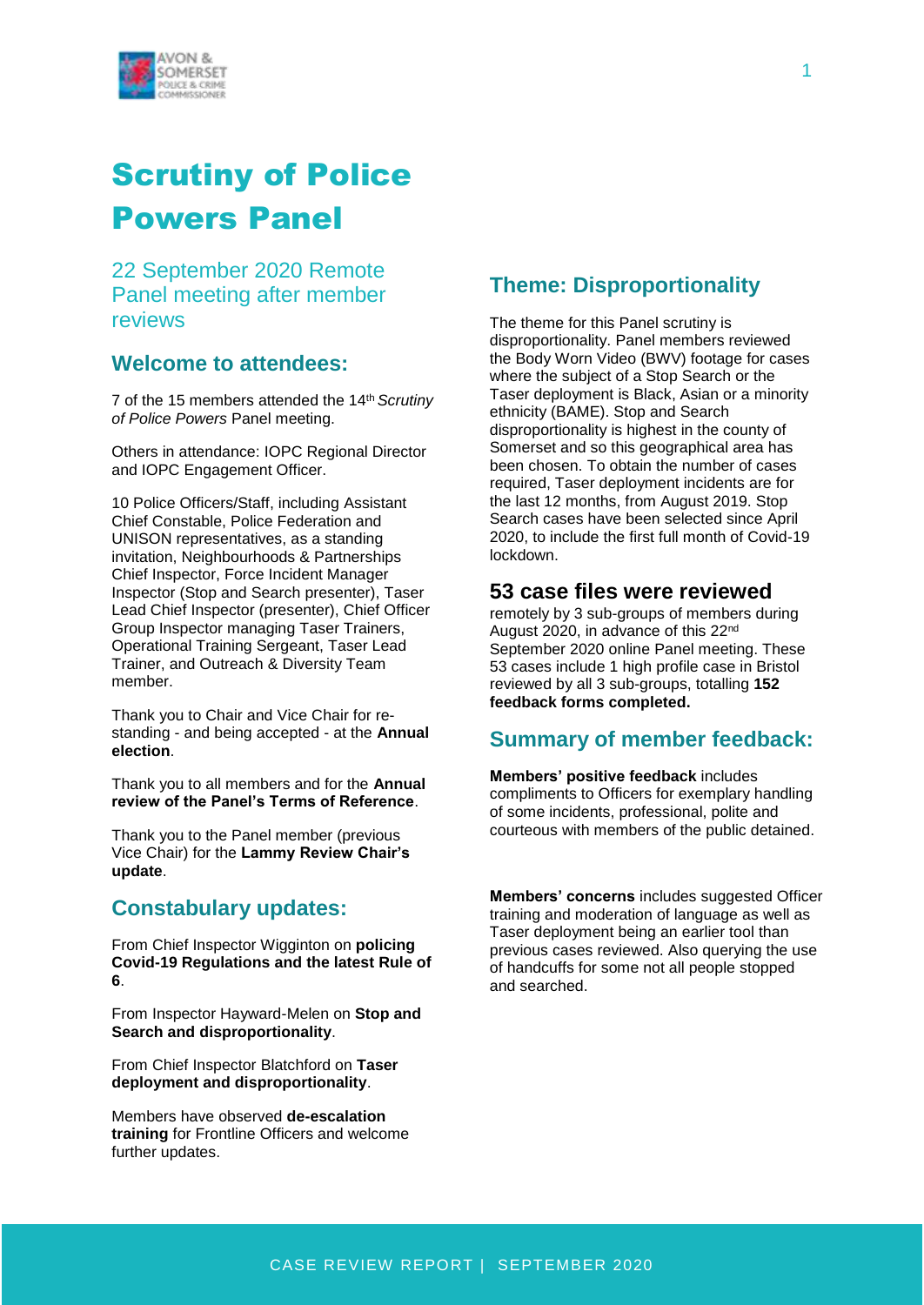

# Scrutiny of Police Powers Panel

22 September 2020 Remote Panel meeting after member reviews

## **Welcome to attendees:**

7 of the 15 members attended the 14th *Scrutiny of Police Powers* Panel meeting.

Others in attendance: IOPC Regional Director and IOPC Engagement Officer.

10 Police Officers/Staff, including Assistant Chief Constable, Police Federation and UNISON representatives, as a standing invitation, Neighbourhoods & Partnerships Chief Inspector, Force Incident Manager Inspector (Stop and Search presenter), Taser Lead Chief Inspector (presenter), Chief Officer Group Inspector managing Taser Trainers, Operational Training Sergeant, Taser Lead Trainer, and Outreach & Diversity Team member.

Thank you to Chair and Vice Chair for restanding - and being accepted - at the **Annual election**.

Thank you to all members and for the **Annual review of the Panel's Terms of Reference**.

Thank you to the Panel member (previous Vice Chair) for the **Lammy Review Chair's update**.

### **Constabulary updates:**

From Chief Inspector Wigginton on **policing Covid-19 Regulations and the latest Rule of 6**.

From Inspector Hayward-Melen on **Stop and Search and disproportionality**.

From Chief Inspector Blatchford on **Taser deployment and disproportionality**.

Members have observed **de-escalation training** for Frontline Officers and welcome further updates.

# **Theme: Disproportionality**

The theme for this Panel scrutiny is disproportionality. Panel members reviewed the Body Worn Video (BWV) footage for cases where the subject of a Stop Search or the Taser deployment is Black, Asian or a minority ethnicity (BAME). Stop and Search disproportionality is highest in the county of Somerset and so this geographical area has been chosen. To obtain the number of cases required, Taser deployment incidents are for the last 12 months, from August 2019. Stop Search cases have been selected since April 2020, to include the first full month of Covid-19 lockdown.

#### **53 case files were reviewed**

remotely by 3 sub-groups of members during August 2020, in advance of this 22nd September 2020 online Panel meeting. These 53 cases include 1 high profile case in Bristol reviewed by all 3 sub-groups, totalling **152 feedback forms completed.**

#### **Summary of member feedback:**

**Members' positive feedback** includes compliments to Officers for exemplary handling of some incidents, professional, polite and courteous with members of the public detained.

**Members' concerns** includes suggested Officer training and moderation of language as well as Taser deployment being an earlier tool than previous cases reviewed. Also querying the use of handcuffs for some not all people stopped and searched.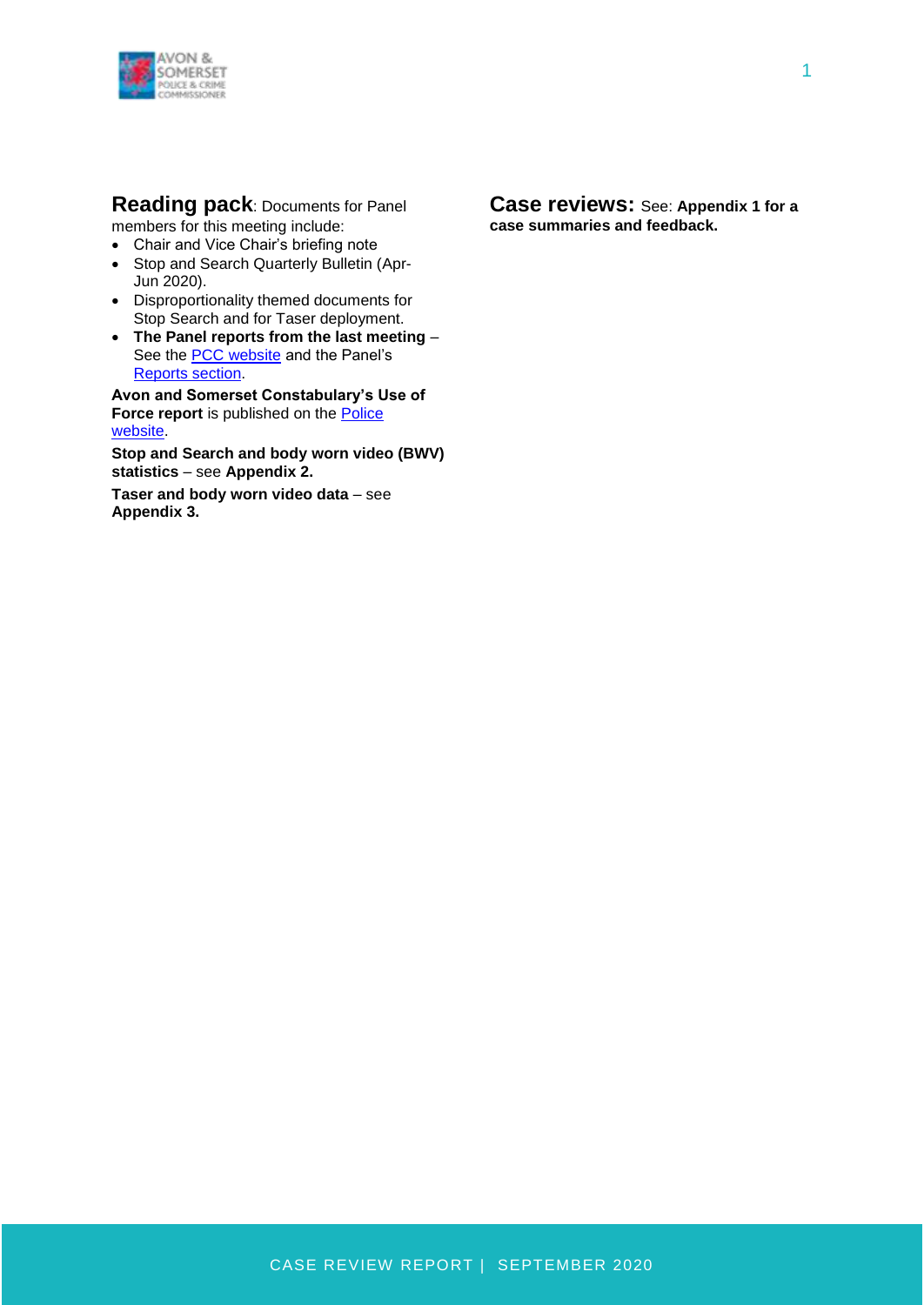

**Reading pack**: Documents for Panel members for this meeting include:

- Chair and Vice Chair's briefing note
- Stop and Search Quarterly Bulletin (Apr-Jun 2020).
- Disproportionality themed documents for Stop Search and for Taser deployment.
- **The Panel reports from the last meeting**  See the [PCC website](http://www.avonandsomerset-pcc.gov.uk/Openness/Scrutiny.aspx) and the Panel's [Reports section.](http://www.avonandsomerset-pcc.gov.uk/Openness/Scrutiny/Scrutiny-of-Police-Powers-Panel-Reports.aspx)

**Avon and Somerset Constabulary's Use of**  Force report is published on the **Police** [website.](https://www.avonandsomerset.police.uk/about-us/publication-scheme/what-our-priorities-are-and-how-we-are-doing/use-of-force/)

**Stop and Search and body worn video (BWV) statistics** – see **Appendix 2.**

**Taser and body worn video data** – see **Appendix 3.**

**Case reviews:** See: **Appendix 1 for a case summaries and feedback.**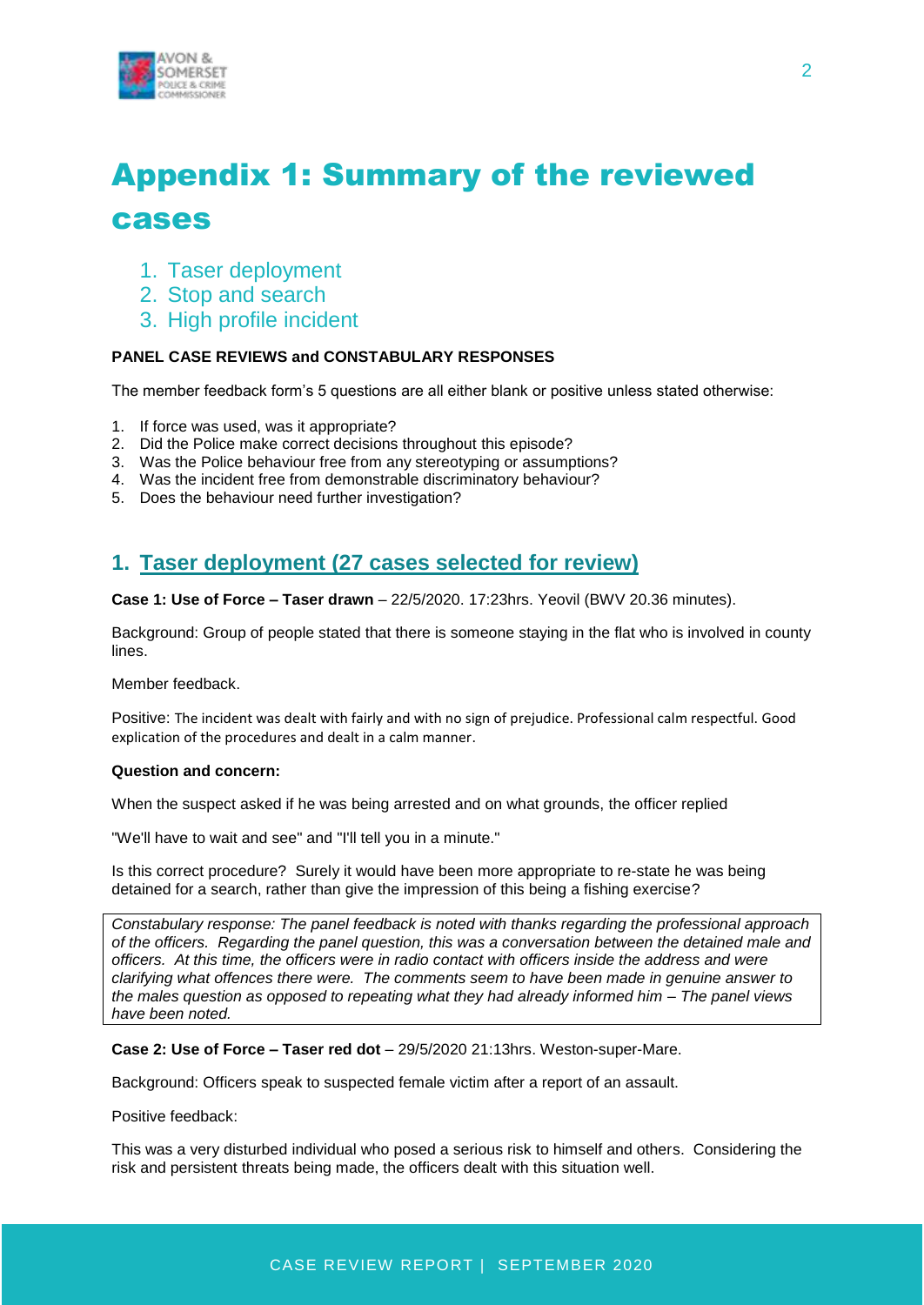

# Appendix 1: Summary of the reviewed cases

- 1. Taser deployment
- 2. Stop and search
- 3. High profile incident

#### **PANEL CASE REVIEWS and CONSTABULARY RESPONSES**

The member feedback form's 5 questions are all either blank or positive unless stated otherwise:

- 1. If force was used, was it appropriate?
- 2. Did the Police make correct decisions throughout this episode?
- 3. Was the Police behaviour free from any stereotyping or assumptions?
- 4. Was the incident free from demonstrable discriminatory behaviour?
- 5. Does the behaviour need further investigation?

# **1. Taser deployment (27 cases selected for review)**

**Case 1: Use of Force – Taser drawn** – 22/5/2020. 17:23hrs. Yeovil (BWV 20.36 minutes).

Background: Group of people stated that there is someone staying in the flat who is involved in county lines.

Member feedback.

Positive: The incident was dealt with fairly and with no sign of prejudice. Professional calm respectful. Good explication of the procedures and dealt in a calm manner.

#### **Question and concern:**

When the suspect asked if he was being arrested and on what grounds, the officer replied

"We'll have to wait and see" and "I'll tell you in a minute."

Is this correct procedure? Surely it would have been more appropriate to re-state he was being detained for a search, rather than give the impression of this being a fishing exercise?

*Constabulary response: The panel feedback is noted with thanks regarding the professional approach of the officers. Regarding the panel question, this was a conversation between the detained male and officers. At this time, the officers were in radio contact with officers inside the address and were clarifying what offences there were. The comments seem to have been made in genuine answer to the males question as opposed to repeating what they had already informed him – The panel views have been noted.*

#### **Case 2: Use of Force – Taser red dot** – 29/5/2020 21:13hrs. Weston-super-Mare.

Background: Officers speak to suspected female victim after a report of an assault.

Positive feedback:

This was a very disturbed individual who posed a serious risk to himself and others. Considering the risk and persistent threats being made, the officers dealt with this situation well.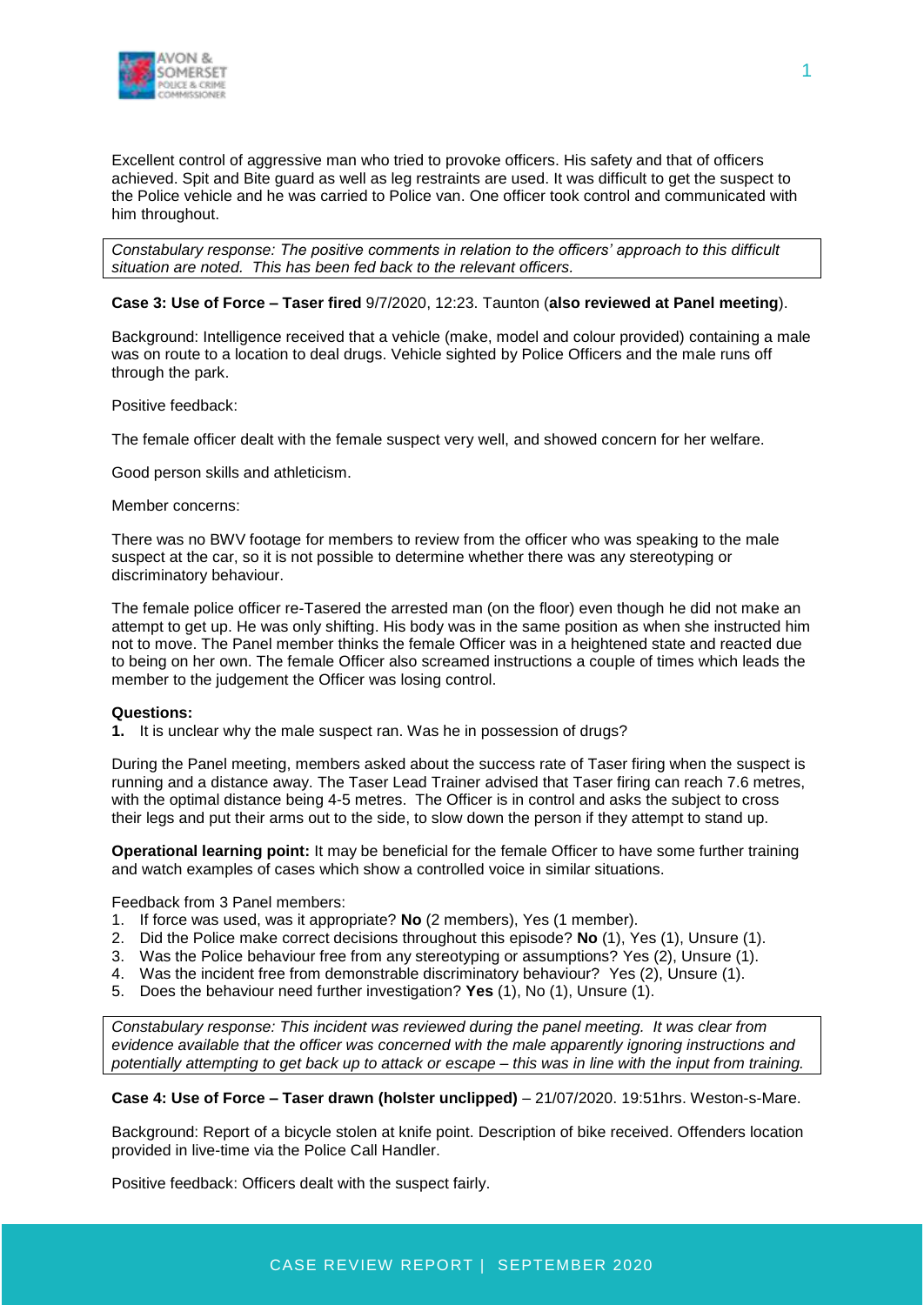

Excellent control of aggressive man who tried to provoke officers. His safety and that of officers achieved. Spit and Bite guard as well as leg restraints are used. It was difficult to get the suspect to the Police vehicle and he was carried to Police van. One officer took control and communicated with him throughout.

*Constabulary response: The positive comments in relation to the officers' approach to this difficult situation are noted. This has been fed back to the relevant officers.* 

#### **Case 3: Use of Force – Taser fired** 9/7/2020, 12:23. Taunton (**also reviewed at Panel meeting**).

Background: Intelligence received that a vehicle (make, model and colour provided) containing a male was on route to a location to deal drugs. Vehicle sighted by Police Officers and the male runs off through the park.

Positive feedback:

The female officer dealt with the female suspect very well, and showed concern for her welfare.

Good person skills and athleticism.

#### Member concerns:

There was no BWV footage for members to review from the officer who was speaking to the male suspect at the car, so it is not possible to determine whether there was any stereotyping or discriminatory behaviour.

The female police officer re-Tasered the arrested man (on the floor) even though he did not make an attempt to get up. He was only shifting. His body was in the same position as when she instructed him not to move. The Panel member thinks the female Officer was in a heightened state and reacted due to being on her own. The female Officer also screamed instructions a couple of times which leads the member to the judgement the Officer was losing control.

#### **Questions:**

**1.** It is unclear why the male suspect ran. Was he in possession of drugs?

During the Panel meeting, members asked about the success rate of Taser firing when the suspect is running and a distance away. The Taser Lead Trainer advised that Taser firing can reach 7.6 metres, with the optimal distance being 4-5 metres. The Officer is in control and asks the subject to cross their legs and put their arms out to the side, to slow down the person if they attempt to stand up.

**Operational learning point:** It may be beneficial for the female Officer to have some further training and watch examples of cases which show a controlled voice in similar situations.

Feedback from 3 Panel members:

- 1. If force was used, was it appropriate? **No** (2 members), Yes (1 member).
- 2. Did the Police make correct decisions throughout this episode? **No** (1), Yes (1), Unsure (1).
- 3. Was the Police behaviour free from any stereotyping or assumptions? Yes (2), Unsure (1).
- 4. Was the incident free from demonstrable discriminatory behaviour? Yes (2), Unsure (1).
- 5. Does the behaviour need further investigation? **Yes** (1), No (1), Unsure (1).

*Constabulary response: This incident was reviewed during the panel meeting. It was clear from evidence available that the officer was concerned with the male apparently ignoring instructions and potentially attempting to get back up to attack or escape – this was in line with the input from training.*

**Case 4: Use of Force – Taser drawn (holster unclipped)** – 21/07/2020. 19:51hrs. Weston-s-Mare.

Background: Report of a bicycle stolen at knife point. Description of bike received. Offenders location provided in live-time via the Police Call Handler.

Positive feedback: Officers dealt with the suspect fairly.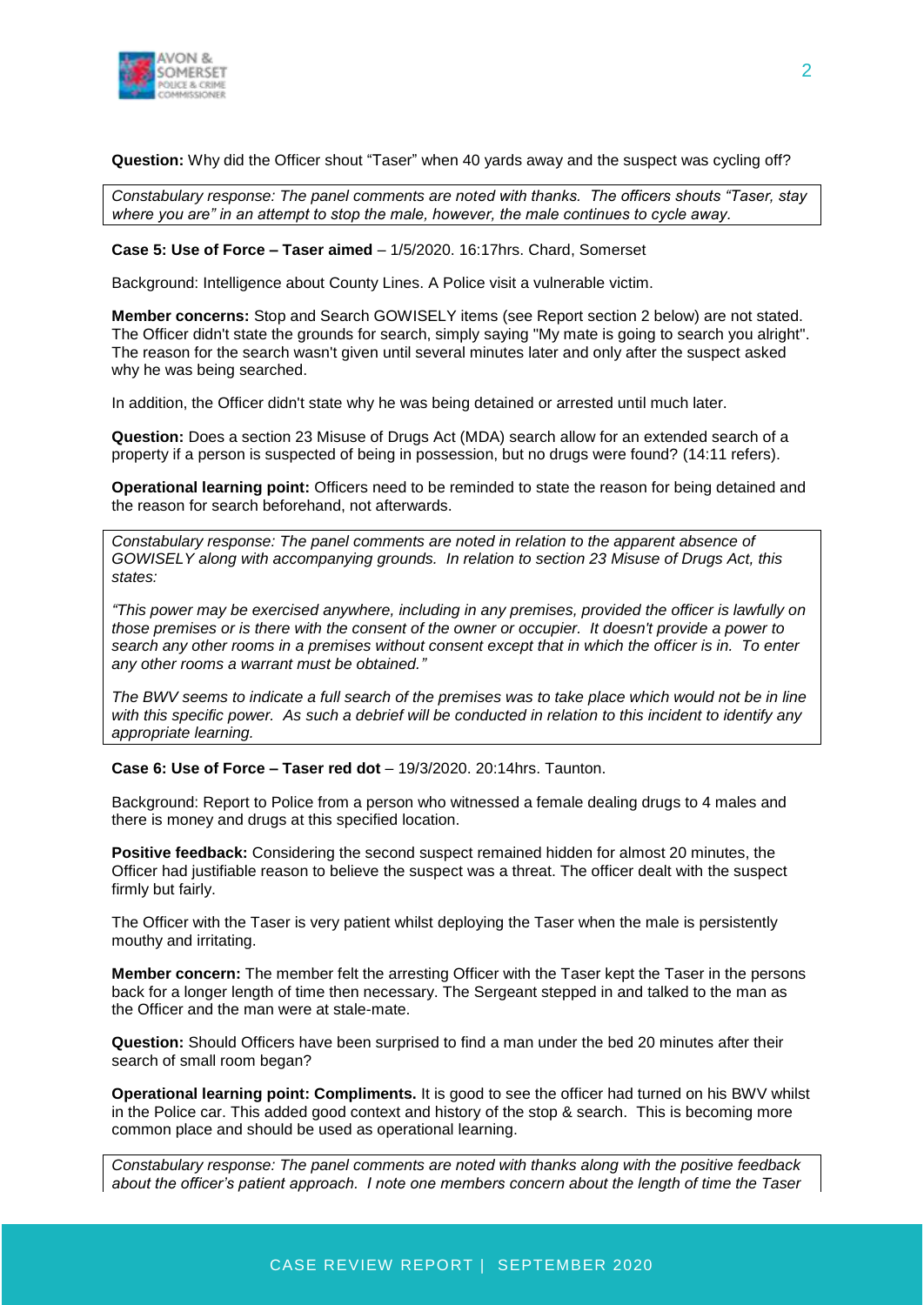

**Question:** Why did the Officer shout "Taser" when 40 yards away and the suspect was cycling off?

*Constabulary response: The panel comments are noted with thanks. The officers shouts "Taser, stay where you are" in an attempt to stop the male, however, the male continues to cycle away.*

#### **Case 5: Use of Force – Taser aimed** – 1/5/2020. 16:17hrs. Chard, Somerset

Background: Intelligence about County Lines. A Police visit a vulnerable victim.

**Member concerns:** Stop and Search GOWISELY items (see Report section 2 below) are not stated. The Officer didn't state the grounds for search, simply saying "My mate is going to search you alright". The reason for the search wasn't given until several minutes later and only after the suspect asked why he was being searched.

In addition, the Officer didn't state why he was being detained or arrested until much later.

**Question:** Does a section 23 Misuse of Drugs Act (MDA) search allow for an extended search of a property if a person is suspected of being in possession, but no drugs were found? (14:11 refers).

**Operational learning point:** Officers need to be reminded to state the reason for being detained and the reason for search beforehand, not afterwards.

*Constabulary response: The panel comments are noted in relation to the apparent absence of GOWISELY along with accompanying grounds. In relation to section 23 Misuse of Drugs Act, this states:*

*"This power may be exercised anywhere, including in any premises, provided the officer is lawfully on those premises or is there with the consent of the owner or occupier. It doesn't provide a power to search any other rooms in a premises without consent except that in which the officer is in. To enter any other rooms a warrant must be obtained."*

*The BWV seems to indicate a full search of the premises was to take place which would not be in line with this specific power. As such a debrief will be conducted in relation to this incident to identify any appropriate learning.*

**Case 6: Use of Force – Taser red dot** – 19/3/2020. 20:14hrs. Taunton.

Background: Report to Police from a person who witnessed a female dealing drugs to 4 males and there is money and drugs at this specified location.

**Positive feedback:** Considering the second suspect remained hidden for almost 20 minutes, the Officer had justifiable reason to believe the suspect was a threat. The officer dealt with the suspect firmly but fairly.

The Officer with the Taser is very patient whilst deploying the Taser when the male is persistently mouthy and irritating.

**Member concern:** The member felt the arresting Officer with the Taser kept the Taser in the persons back for a longer length of time then necessary. The Sergeant stepped in and talked to the man as the Officer and the man were at stale-mate.

**Question:** Should Officers have been surprised to find a man under the bed 20 minutes after their search of small room began?

**Operational learning point: Compliments.** It is good to see the officer had turned on his BWV whilst in the Police car. This added good context and history of the stop & search. This is becoming more common place and should be used as operational learning.

*Constabulary response: The panel comments are noted with thanks along with the positive feedback about the officer's patient approach. I note one members concern about the length of time the Taser*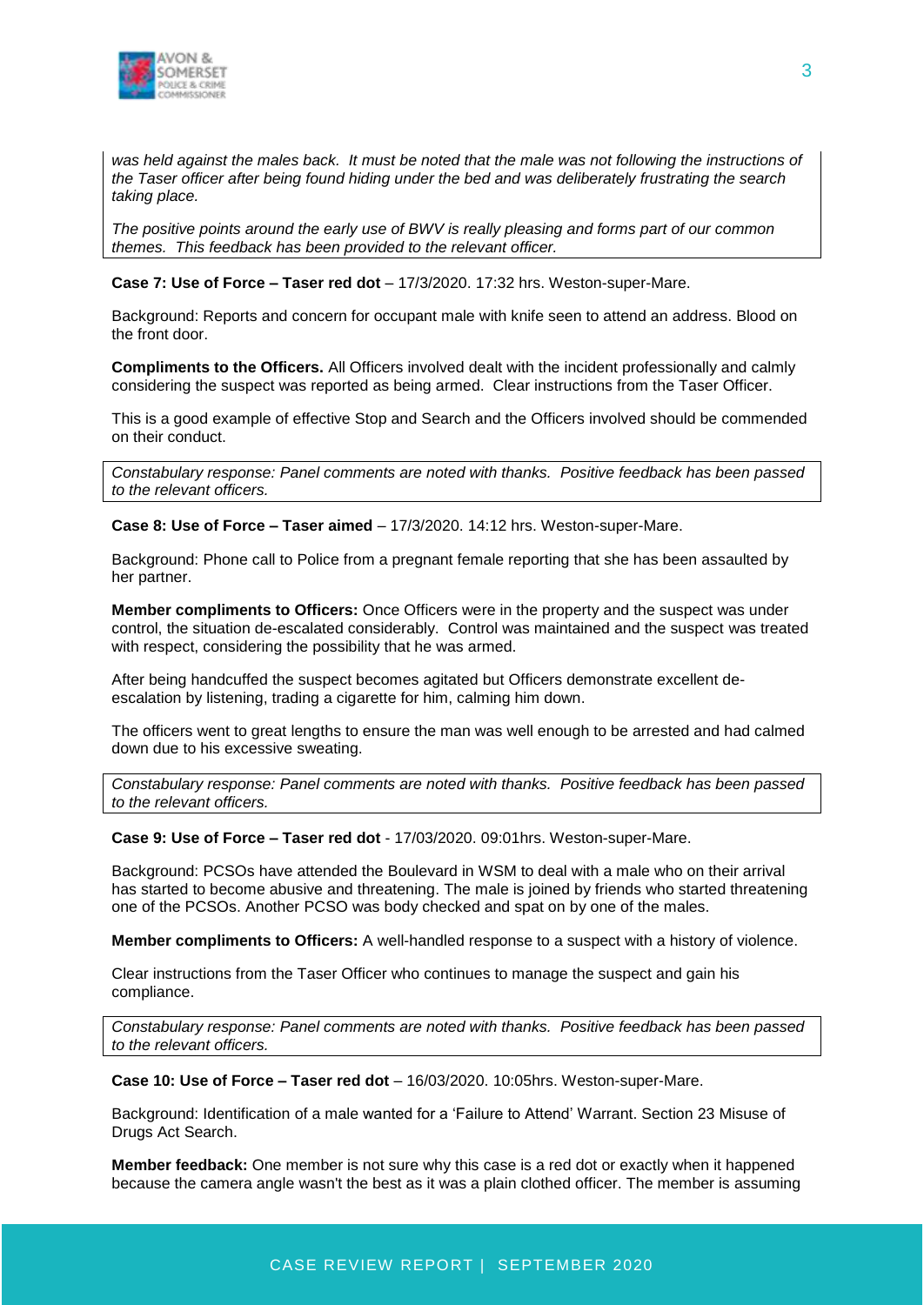

*was held against the males back. It must be noted that the male was not following the instructions of the Taser officer after being found hiding under the bed and was deliberately frustrating the search taking place.* 

*The positive points around the early use of BWV is really pleasing and forms part of our common themes. This feedback has been provided to the relevant officer.*

#### **Case 7: Use of Force – Taser red dot** – 17/3/2020. 17:32 hrs. Weston-super-Mare.

Background: Reports and concern for occupant male with knife seen to attend an address. Blood on the front door.

**Compliments to the Officers.** All Officers involved dealt with the incident professionally and calmly considering the suspect was reported as being armed. Clear instructions from the Taser Officer.

This is a good example of effective Stop and Search and the Officers involved should be commended on their conduct.

*Constabulary response: Panel comments are noted with thanks. Positive feedback has been passed to the relevant officers.* 

**Case 8: Use of Force – Taser aimed** – 17/3/2020. 14:12 hrs. Weston-super-Mare.

Background: Phone call to Police from a pregnant female reporting that she has been assaulted by her partner.

**Member compliments to Officers:** Once Officers were in the property and the suspect was under control, the situation de-escalated considerably. Control was maintained and the suspect was treated with respect, considering the possibility that he was armed.

After being handcuffed the suspect becomes agitated but Officers demonstrate excellent deescalation by listening, trading a cigarette for him, calming him down.

The officers went to great lengths to ensure the man was well enough to be arrested and had calmed down due to his excessive sweating.

*Constabulary response: Panel comments are noted with thanks. Positive feedback has been passed to the relevant officers.* 

**Case 9: Use of Force – Taser red dot** - 17/03/2020. 09:01hrs. Weston-super-Mare.

Background: PCSOs have attended the Boulevard in WSM to deal with a male who on their arrival has started to become abusive and threatening. The male is joined by friends who started threatening one of the PCSOs. Another PCSO was body checked and spat on by one of the males.

**Member compliments to Officers:** A well-handled response to a suspect with a history of violence.

Clear instructions from the Taser Officer who continues to manage the suspect and gain his compliance.

*Constabulary response: Panel comments are noted with thanks. Positive feedback has been passed to the relevant officers.* 

**Case 10: Use of Force – Taser red dot** – 16/03/2020. 10:05hrs. Weston-super-Mare.

Background: Identification of a male wanted for a 'Failure to Attend' Warrant. Section 23 Misuse of Drugs Act Search.

**Member feedback:** One member is not sure why this case is a red dot or exactly when it happened because the camera angle wasn't the best as it was a plain clothed officer. The member is assuming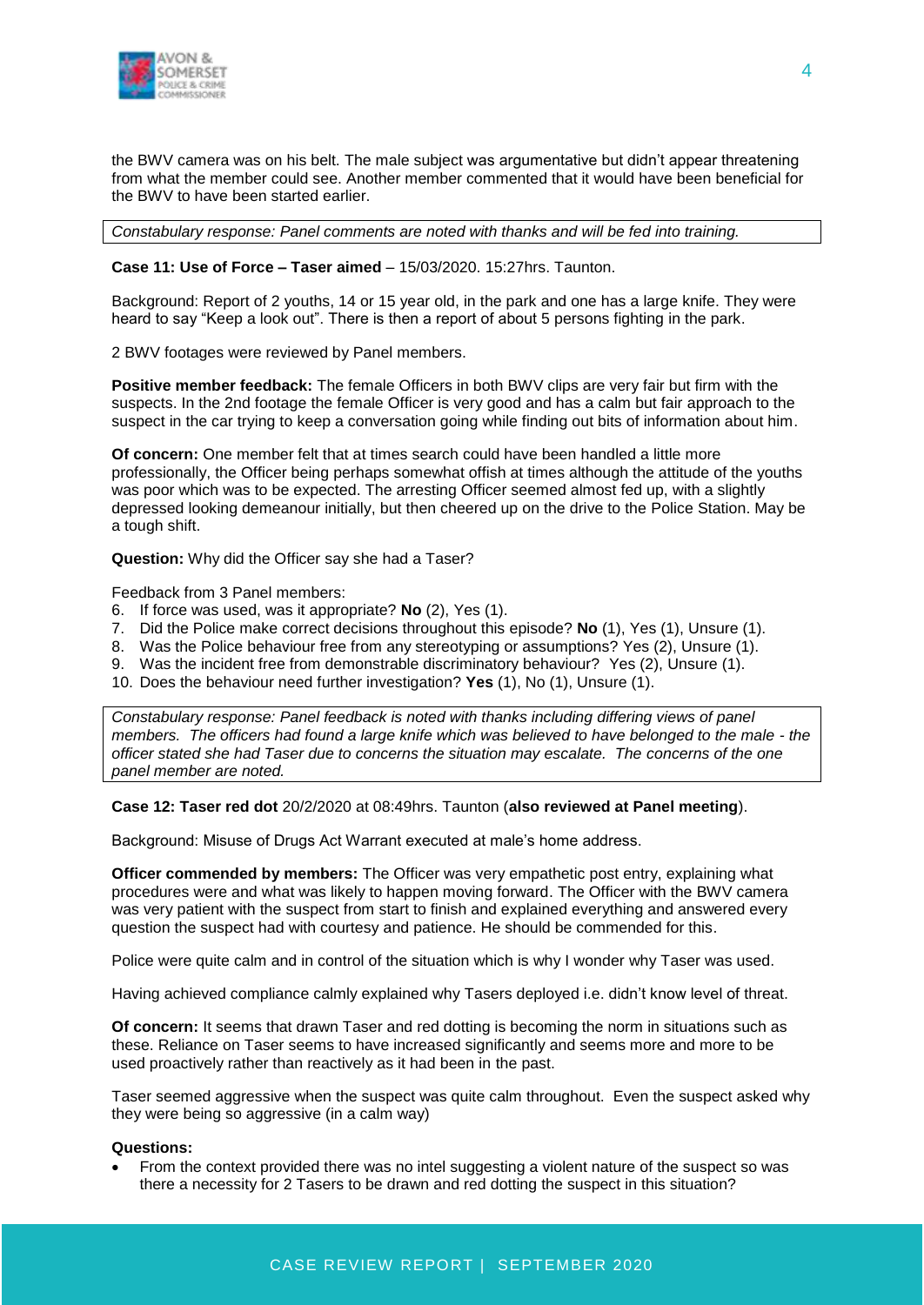

the BWV camera was on his belt. The male subject was argumentative but didn't appear threatening from what the member could see. Another member commented that it would have been beneficial for the BWV to have been started earlier.

*Constabulary response: Panel comments are noted with thanks and will be fed into training.*

#### **Case 11: Use of Force – Taser aimed** – 15/03/2020. 15:27hrs. Taunton.

Background: Report of 2 youths, 14 or 15 year old, in the park and one has a large knife. They were heard to say "Keep a look out". There is then a report of about 5 persons fighting in the park.

2 BWV footages were reviewed by Panel members.

**Positive member feedback:** The female Officers in both BWV clips are very fair but firm with the suspects. In the 2nd footage the female Officer is very good and has a calm but fair approach to the suspect in the car trying to keep a conversation going while finding out bits of information about him.

**Of concern:** One member felt that at times search could have been handled a little more professionally, the Officer being perhaps somewhat offish at times although the attitude of the youths was poor which was to be expected. The arresting Officer seemed almost fed up, with a slightly depressed looking demeanour initially, but then cheered up on the drive to the Police Station. May be a tough shift.

**Question:** Why did the Officer say she had a Taser?

Feedback from 3 Panel members:

- 6. If force was used, was it appropriate? **No** (2), Yes (1).
- 7. Did the Police make correct decisions throughout this episode? **No** (1), Yes (1), Unsure (1).
- 8. Was the Police behaviour free from any stereotyping or assumptions? Yes (2), Unsure (1).
- 9. Was the incident free from demonstrable discriminatory behaviour? Yes (2), Unsure (1).
- 10. Does the behaviour need further investigation? **Yes** (1), No (1), Unsure (1).

*Constabulary response: Panel feedback is noted with thanks including differing views of panel members. The officers had found a large knife which was believed to have belonged to the male - the officer stated she had Taser due to concerns the situation may escalate. The concerns of the one panel member are noted.*

**Case 12: Taser red dot** 20/2/2020 at 08:49hrs. Taunton (**also reviewed at Panel meeting**).

Background: Misuse of Drugs Act Warrant executed at male's home address.

**Officer commended by members:** The Officer was very empathetic post entry, explaining what procedures were and what was likely to happen moving forward. The Officer with the BWV camera was very patient with the suspect from start to finish and explained everything and answered every question the suspect had with courtesy and patience. He should be commended for this.

Police were quite calm and in control of the situation which is why I wonder why Taser was used.

Having achieved compliance calmly explained why Tasers deployed i.e. didn't know level of threat.

**Of concern:** It seems that drawn Taser and red dotting is becoming the norm in situations such as these. Reliance on Taser seems to have increased significantly and seems more and more to be used proactively rather than reactively as it had been in the past.

Taser seemed aggressive when the suspect was quite calm throughout. Even the suspect asked why they were being so aggressive (in a calm way)

#### **Questions:**

 From the context provided there was no intel suggesting a violent nature of the suspect so was there a necessity for 2 Tasers to be drawn and red dotting the suspect in this situation?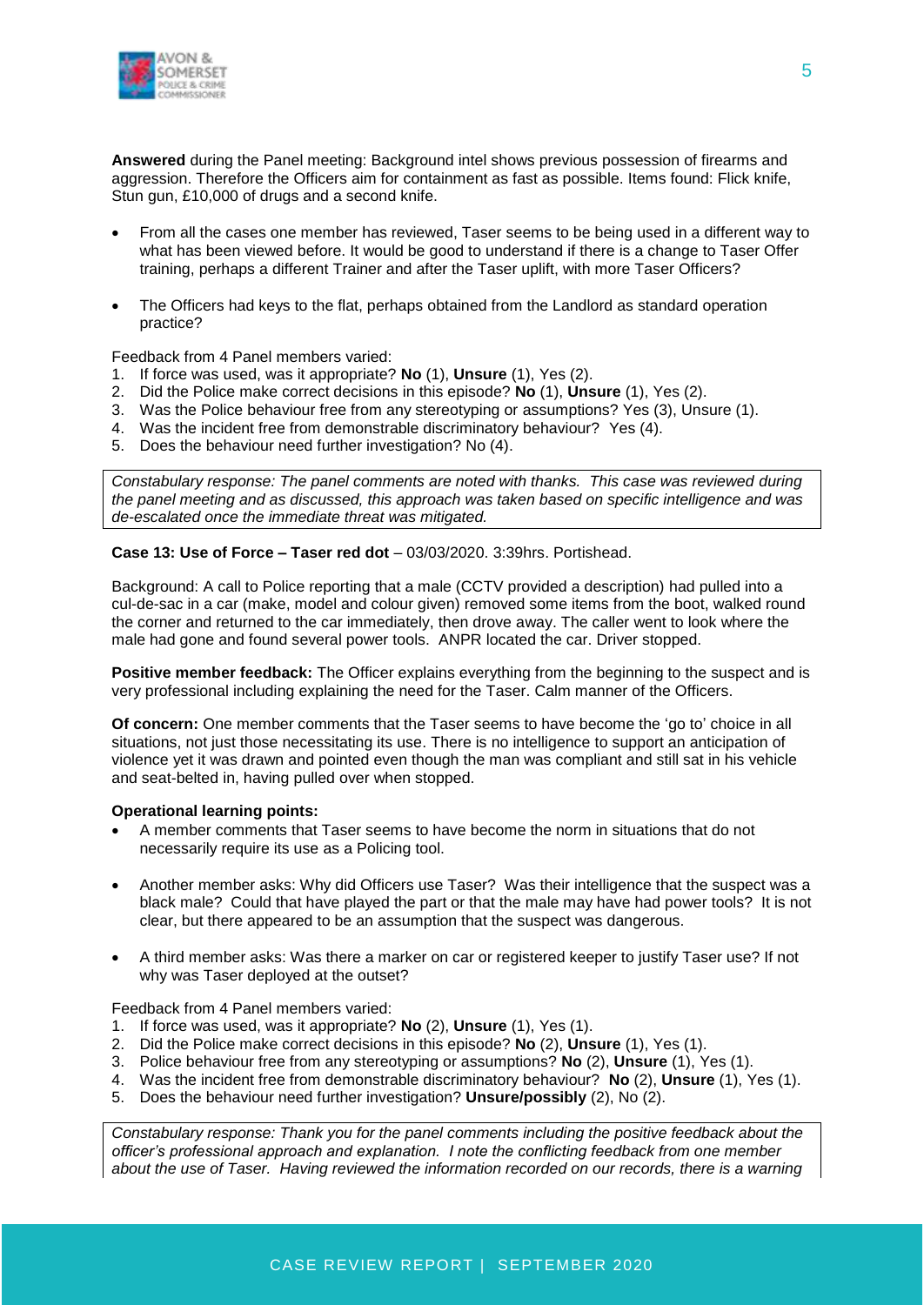

**Answered** during the Panel meeting: Background intel shows previous possession of firearms and aggression. Therefore the Officers aim for containment as fast as possible. Items found: Flick knife, Stun gun, £10,000 of drugs and a second knife.

- From all the cases one member has reviewed, Taser seems to be being used in a different way to what has been viewed before. It would be good to understand if there is a change to Taser Offer training, perhaps a different Trainer and after the Taser uplift, with more Taser Officers?
- The Officers had keys to the flat, perhaps obtained from the Landlord as standard operation practice?

Feedback from 4 Panel members varied:

- 1. If force was used, was it appropriate? **No** (1), **Unsure** (1), Yes (2).
- 2. Did the Police make correct decisions in this episode? **No** (1), **Unsure** (1), Yes (2).
- 3. Was the Police behaviour free from any stereotyping or assumptions? Yes (3), Unsure (1).
- 4. Was the incident free from demonstrable discriminatory behaviour? Yes (4).
- 5. Does the behaviour need further investigation? No (4).

*Constabulary response: The panel comments are noted with thanks. This case was reviewed during the panel meeting and as discussed, this approach was taken based on specific intelligence and was de-escalated once the immediate threat was mitigated.*

**Case 13: Use of Force – Taser red dot** – 03/03/2020. 3:39hrs. Portishead.

Background: A call to Police reporting that a male (CCTV provided a description) had pulled into a cul-de-sac in a car (make, model and colour given) removed some items from the boot, walked round the corner and returned to the car immediately, then drove away. The caller went to look where the male had gone and found several power tools. ANPR located the car. Driver stopped.

**Positive member feedback:** The Officer explains everything from the beginning to the suspect and is very professional including explaining the need for the Taser. Calm manner of the Officers.

**Of concern:** One member comments that the Taser seems to have become the 'go to' choice in all situations, not just those necessitating its use. There is no intelligence to support an anticipation of violence yet it was drawn and pointed even though the man was compliant and still sat in his vehicle and seat-belted in, having pulled over when stopped.

#### **Operational learning points:**

- A member comments that Taser seems to have become the norm in situations that do not necessarily require its use as a Policing tool.
- Another member asks: Why did Officers use Taser? Was their intelligence that the suspect was a black male? Could that have played the part or that the male may have had power tools? It is not clear, but there appeared to be an assumption that the suspect was dangerous.
- A third member asks: Was there a marker on car or registered keeper to justify Taser use? If not why was Taser deployed at the outset?

#### Feedback from 4 Panel members varied:

- 1. If force was used, was it appropriate? **No** (2), **Unsure** (1), Yes (1).
- 2. Did the Police make correct decisions in this episode? **No** (2), **Unsure** (1), Yes (1).
- 3. Police behaviour free from any stereotyping or assumptions? **No** (2), **Unsure** (1), Yes (1).
- 4. Was the incident free from demonstrable discriminatory behaviour? **No** (2), **Unsure** (1), Yes (1).
- 5. Does the behaviour need further investigation? **Unsure/possibly** (2), No (2).

*Constabulary response: Thank you for the panel comments including the positive feedback about the officer's professional approach and explanation. I note the conflicting feedback from one member about the use of Taser. Having reviewed the information recorded on our records, there is a warning*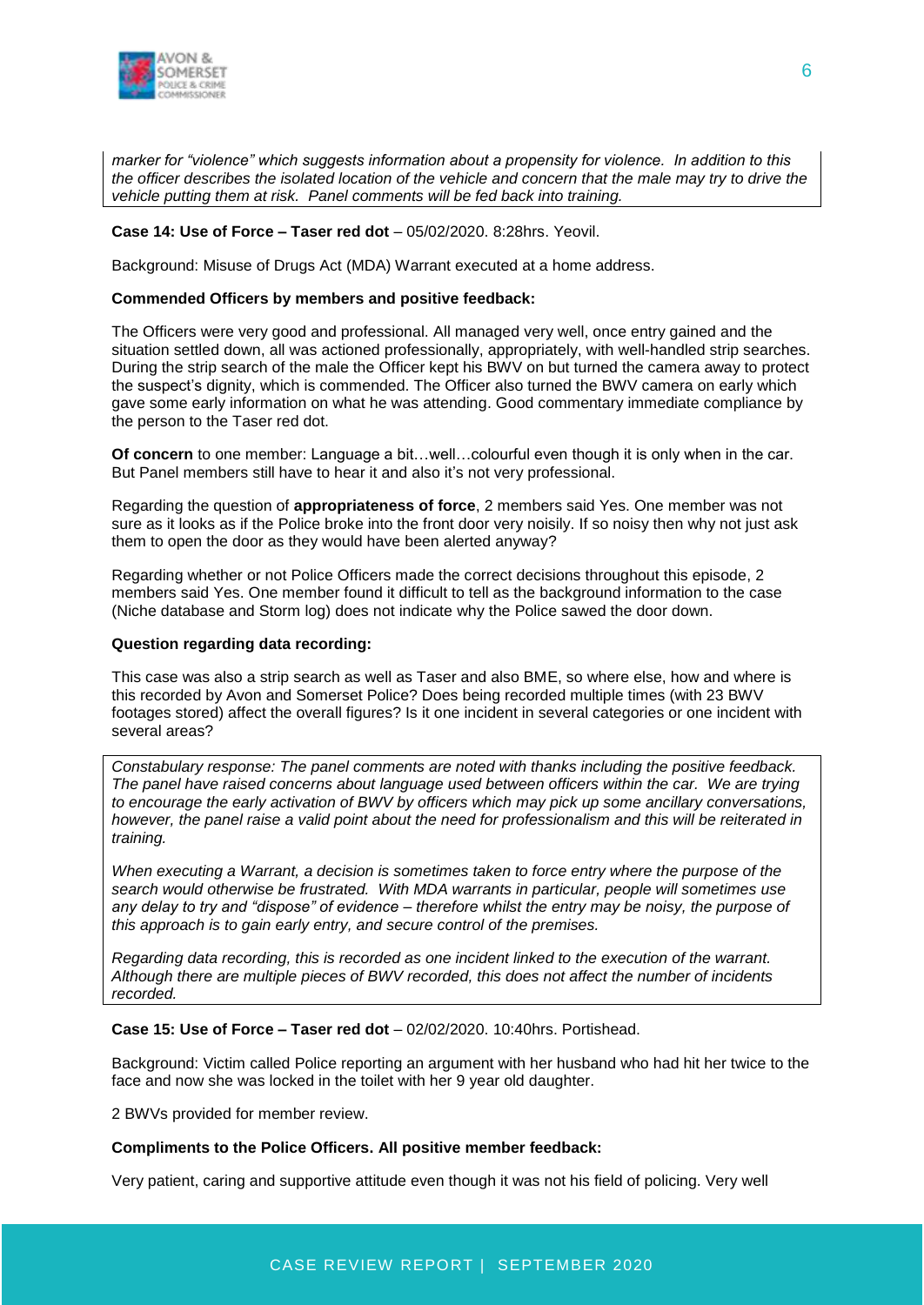

*marker for "violence" which suggests information about a propensity for violence. In addition to this the officer describes the isolated location of the vehicle and concern that the male may try to drive the vehicle putting them at risk. Panel comments will be fed back into training.*

#### **Case 14: Use of Force – Taser red dot** – 05/02/2020. 8:28hrs. Yeovil.

Background: Misuse of Drugs Act (MDA) Warrant executed at a home address.

#### **Commended Officers by members and positive feedback:**

The Officers were very good and professional. All managed very well, once entry gained and the situation settled down, all was actioned professionally, appropriately, with well-handled strip searches. During the strip search of the male the Officer kept his BWV on but turned the camera away to protect the suspect's dignity, which is commended. The Officer also turned the BWV camera on early which gave some early information on what he was attending. Good commentary immediate compliance by the person to the Taser red dot.

**Of concern** to one member: Language a bit…well…colourful even though it is only when in the car. But Panel members still have to hear it and also it's not very professional.

Regarding the question of **appropriateness of force**, 2 members said Yes. One member was not sure as it looks as if the Police broke into the front door very noisily. If so noisy then why not just ask them to open the door as they would have been alerted anyway?

Regarding whether or not Police Officers made the correct decisions throughout this episode, 2 members said Yes. One member found it difficult to tell as the background information to the case (Niche database and Storm log) does not indicate why the Police sawed the door down.

#### **Question regarding data recording:**

This case was also a strip search as well as Taser and also BME, so where else, how and where is this recorded by Avon and Somerset Police? Does being recorded multiple times (with 23 BWV footages stored) affect the overall figures? Is it one incident in several categories or one incident with several areas?

*Constabulary response: The panel comments are noted with thanks including the positive feedback. The panel have raised concerns about language used between officers within the car. We are trying to encourage the early activation of BWV by officers which may pick up some ancillary conversations, however, the panel raise a valid point about the need for professionalism and this will be reiterated in training.*

*When executing a Warrant, a decision is sometimes taken to force entry where the purpose of the search would otherwise be frustrated. With MDA warrants in particular, people will sometimes use any delay to try and "dispose" of evidence – therefore whilst the entry may be noisy, the purpose of this approach is to gain early entry, and secure control of the premises.*

*Regarding data recording, this is recorded as one incident linked to the execution of the warrant. Although there are multiple pieces of BWV recorded, this does not affect the number of incidents recorded.*

#### **Case 15: Use of Force – Taser red dot** – 02/02/2020. 10:40hrs. Portishead.

Background: Victim called Police reporting an argument with her husband who had hit her twice to the face and now she was locked in the toilet with her 9 year old daughter.

2 BWVs provided for member review.

#### **Compliments to the Police Officers. All positive member feedback:**

Very patient, caring and supportive attitude even though it was not his field of policing. Very well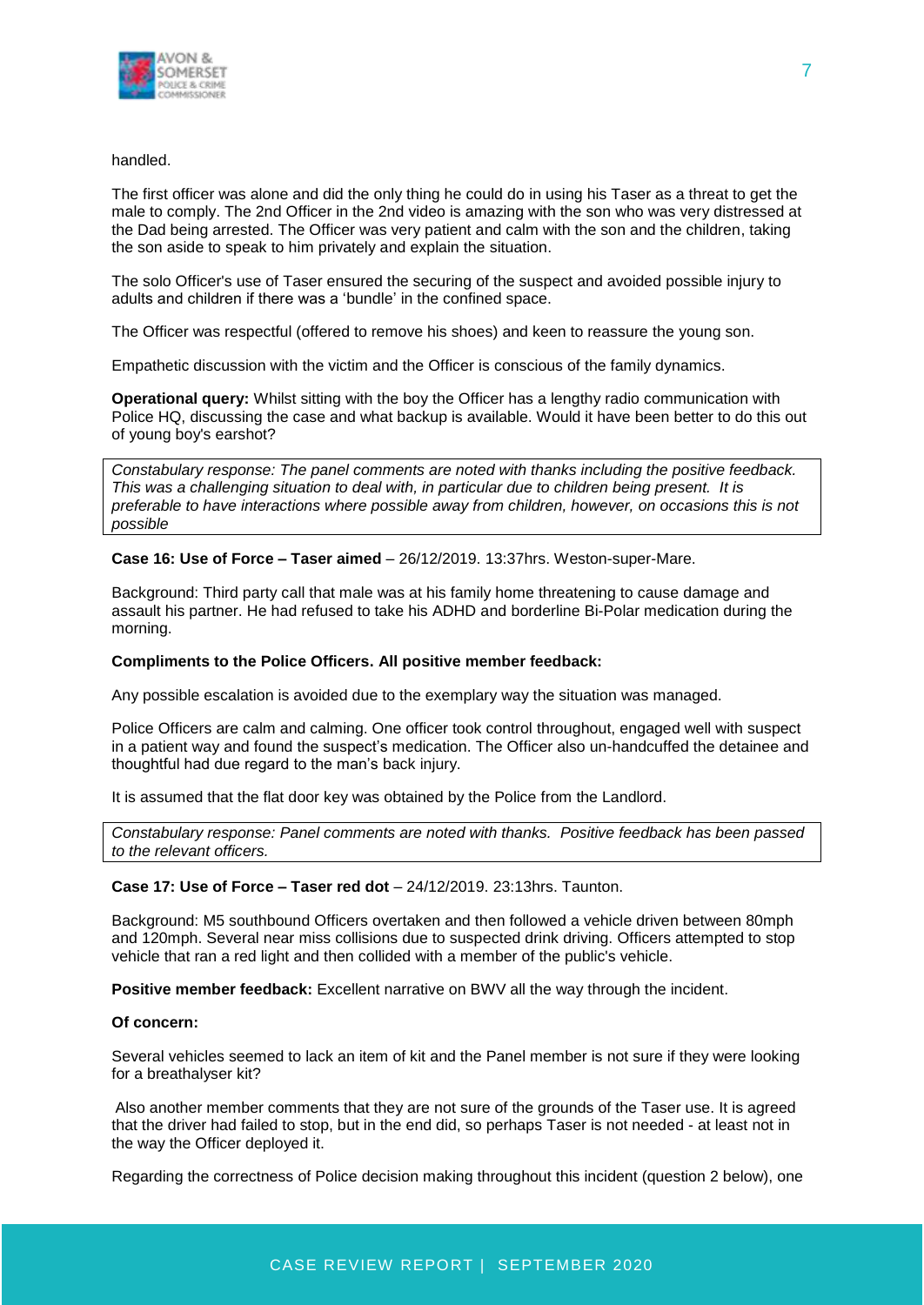

#### handled.

The first officer was alone and did the only thing he could do in using his Taser as a threat to get the male to comply. The 2nd Officer in the 2nd video is amazing with the son who was very distressed at the Dad being arrested. The Officer was very patient and calm with the son and the children, taking the son aside to speak to him privately and explain the situation.

The solo Officer's use of Taser ensured the securing of the suspect and avoided possible injury to adults and children if there was a 'bundle' in the confined space.

The Officer was respectful (offered to remove his shoes) and keen to reassure the young son.

Empathetic discussion with the victim and the Officer is conscious of the family dynamics.

**Operational query:** Whilst sitting with the boy the Officer has a lengthy radio communication with Police HQ, discussing the case and what backup is available. Would it have been better to do this out of young boy's earshot?

*Constabulary response: The panel comments are noted with thanks including the positive feedback. This was a challenging situation to deal with, in particular due to children being present. It is preferable to have interactions where possible away from children, however, on occasions this is not possible*

**Case 16: Use of Force – Taser aimed** – 26/12/2019. 13:37hrs. Weston-super-Mare.

Background: Third party call that male was at his family home threatening to cause damage and assault his partner. He had refused to take his ADHD and borderline Bi-Polar medication during the morning.

#### **Compliments to the Police Officers. All positive member feedback:**

Any possible escalation is avoided due to the exemplary way the situation was managed.

Police Officers are calm and calming. One officer took control throughout, engaged well with suspect in a patient way and found the suspect's medication. The Officer also un-handcuffed the detainee and thoughtful had due regard to the man's back injury.

It is assumed that the flat door key was obtained by the Police from the Landlord.

*Constabulary response: Panel comments are noted with thanks. Positive feedback has been passed to the relevant officers.* 

#### **Case 17: Use of Force – Taser red dot** – 24/12/2019. 23:13hrs. Taunton.

Background: M5 southbound Officers overtaken and then followed a vehicle driven between 80mph and 120mph. Several near miss collisions due to suspected drink driving. Officers attempted to stop vehicle that ran a red light and then collided with a member of the public's vehicle.

**Positive member feedback:** Excellent narrative on BWV all the way through the incident.

#### **Of concern:**

Several vehicles seemed to lack an item of kit and the Panel member is not sure if they were looking for a breathalyser kit?

Also another member comments that they are not sure of the grounds of the Taser use. It is agreed that the driver had failed to stop, but in the end did, so perhaps Taser is not needed - at least not in the way the Officer deployed it.

Regarding the correctness of Police decision making throughout this incident (question 2 below), one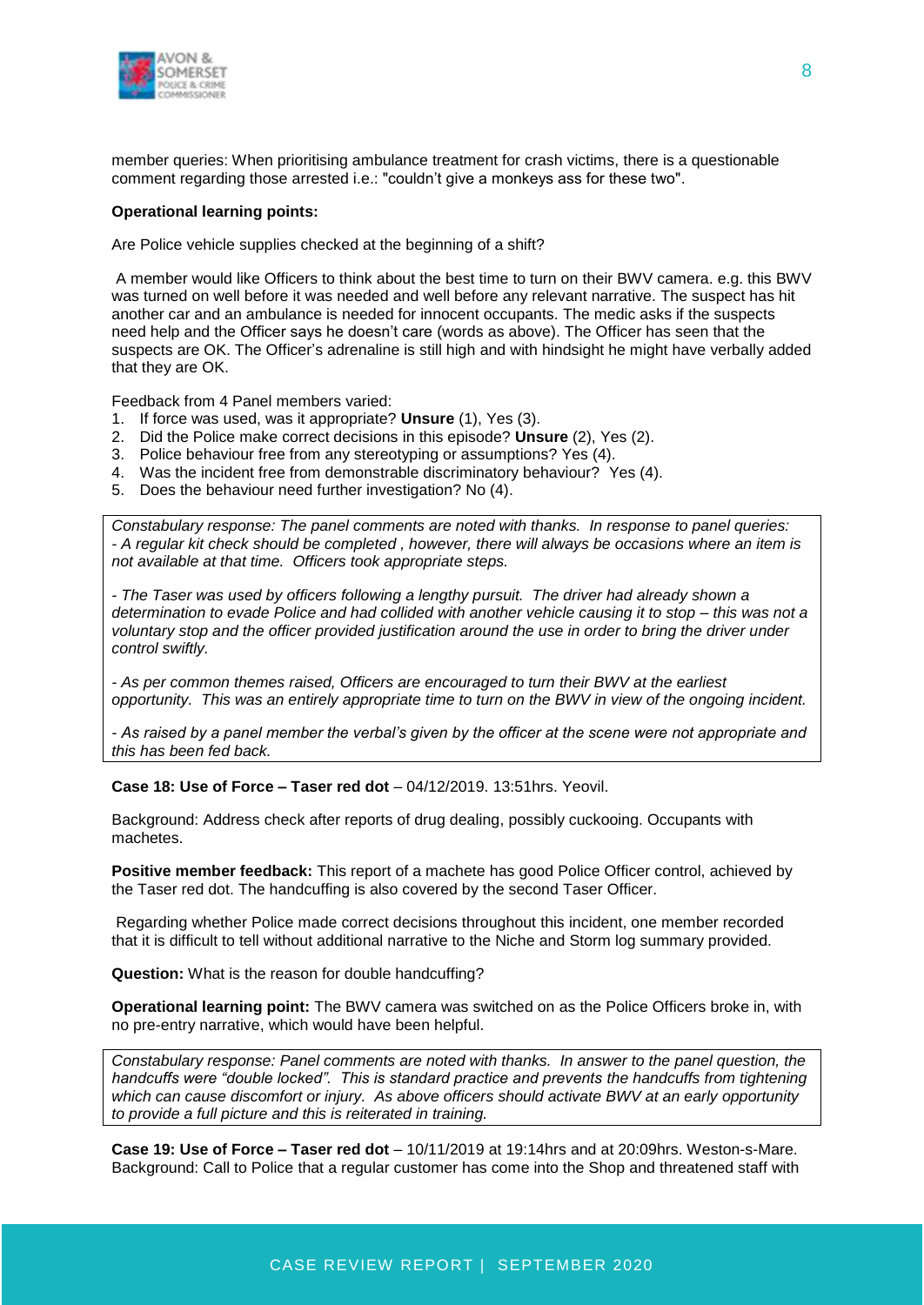

member queries: When prioritising ambulance treatment for crash victims, there is a questionable comment regarding those arrested i.e.: "couldn't give a monkeys ass for these two".

#### **Operational learning points:**

Are Police vehicle supplies checked at the beginning of a shift?

A member would like Officers to think about the best time to turn on their BWV camera. e.g. this BWV was turned on well before it was needed and well before any relevant narrative. The suspect has hit another car and an ambulance is needed for innocent occupants. The medic asks if the suspects need help and the Officer says he doesn't care (words as above). The Officer has seen that the suspects are OK. The Officer's adrenaline is still high and with hindsight he might have verbally added that they are OK.

Feedback from 4 Panel members varied:

- 1. If force was used, was it appropriate? **Unsure** (1), Yes (3).
- 2. Did the Police make correct decisions in this episode? **Unsure** (2), Yes (2).
- 3. Police behaviour free from any stereotyping or assumptions? Yes (4).
- 4. Was the incident free from demonstrable discriminatory behaviour? Yes (4).
- 5. Does the behaviour need further investigation? No (4).

*Constabulary response: The panel comments are noted with thanks. In response to panel queries: - A regular kit check should be completed , however, there will always be occasions where an item is not available at that time. Officers took appropriate steps.*

*- The Taser was used by officers following a lengthy pursuit. The driver had already shown a determination to evade Police and had collided with another vehicle causing it to stop – this was not a voluntary stop and the officer provided justification around the use in order to bring the driver under control swiftly.*

*- As per common themes raised, Officers are encouraged to turn their BWV at the earliest opportunity. This was an entirely appropriate time to turn on the BWV in view of the ongoing incident.*

*- As raised by a panel member the verbal's given by the officer at the scene were not appropriate and this has been fed back.* 

**Case 18: Use of Force – Taser red dot** – 04/12/2019. 13:51hrs. Yeovil.

Background: Address check after reports of drug dealing, possibly cuckooing. Occupants with machetes.

**Positive member feedback:** This report of a machete has good Police Officer control, achieved by the Taser red dot. The handcuffing is also covered by the second Taser Officer.

Regarding whether Police made correct decisions throughout this incident, one member recorded that it is difficult to tell without additional narrative to the Niche and Storm log summary provided.

**Question:** What is the reason for double handcuffing?

**Operational learning point:** The BWV camera was switched on as the Police Officers broke in, with no pre-entry narrative, which would have been helpful.

*Constabulary response: Panel comments are noted with thanks. In answer to the panel question, the handcuffs were "double locked". This is standard practice and prevents the handcuffs from tightening which can cause discomfort or injury. As above officers should activate BWV at an early opportunity to provide a full picture and this is reiterated in training.*

**Case 19: Use of Force – Taser red dot** – 10/11/2019 at 19:14hrs and at 20:09hrs. Weston-s-Mare. Background: Call to Police that a regular customer has come into the Shop and threatened staff with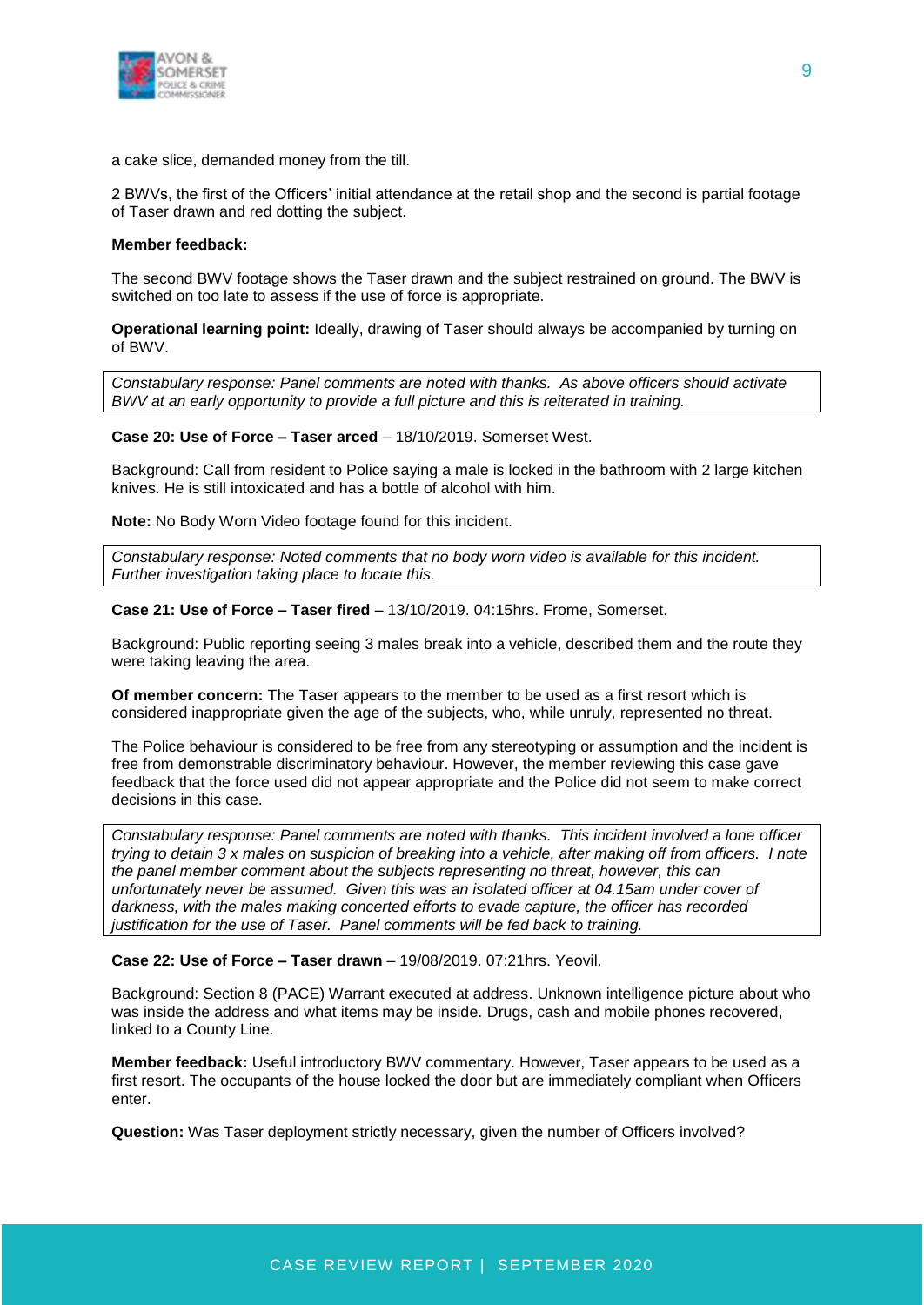

a cake slice, demanded money from the till.

2 BWVs, the first of the Officers' initial attendance at the retail shop and the second is partial footage of Taser drawn and red dotting the subject.

#### **Member feedback:**

The second BWV footage shows the Taser drawn and the subject restrained on ground. The BWV is switched on too late to assess if the use of force is appropriate.

**Operational learning point:** Ideally, drawing of Taser should always be accompanied by turning on of BWV.

*Constabulary response: Panel comments are noted with thanks. As above officers should activate BWV at an early opportunity to provide a full picture and this is reiterated in training.*

**Case 20: Use of Force – Taser arced** – 18/10/2019. Somerset West.

Background: Call from resident to Police saying a male is locked in the bathroom with 2 large kitchen knives. He is still intoxicated and has a bottle of alcohol with him.

**Note:** No Body Worn Video footage found for this incident.

*Constabulary response: Noted comments that no body worn video is available for this incident. Further investigation taking place to locate this.*

**Case 21: Use of Force – Taser fired** – 13/10/2019. 04:15hrs. Frome, Somerset.

Background: Public reporting seeing 3 males break into a vehicle, described them and the route they were taking leaving the area.

**Of member concern:** The Taser appears to the member to be used as a first resort which is considered inappropriate given the age of the subjects, who, while unruly, represented no threat.

The Police behaviour is considered to be free from any stereotyping or assumption and the incident is free from demonstrable discriminatory behaviour. However, the member reviewing this case gave feedback that the force used did not appear appropriate and the Police did not seem to make correct decisions in this case.

*Constabulary response: Panel comments are noted with thanks. This incident involved a lone officer trying to detain 3 x males on suspicion of breaking into a vehicle, after making off from officers. I note the panel member comment about the subjects representing no threat, however, this can unfortunately never be assumed. Given this was an isolated officer at 04.15am under cover of darkness, with the males making concerted efforts to evade capture, the officer has recorded justification for the use of Taser. Panel comments will be fed back to training.*

**Case 22: Use of Force – Taser drawn** – 19/08/2019. 07:21hrs. Yeovil.

Background: Section 8 (PACE) Warrant executed at address. Unknown intelligence picture about who was inside the address and what items may be inside. Drugs, cash and mobile phones recovered, linked to a County Line.

**Member feedback:** Useful introductory BWV commentary. However, Taser appears to be used as a first resort. The occupants of the house locked the door but are immediately compliant when Officers enter.

**Question:** Was Taser deployment strictly necessary, given the number of Officers involved?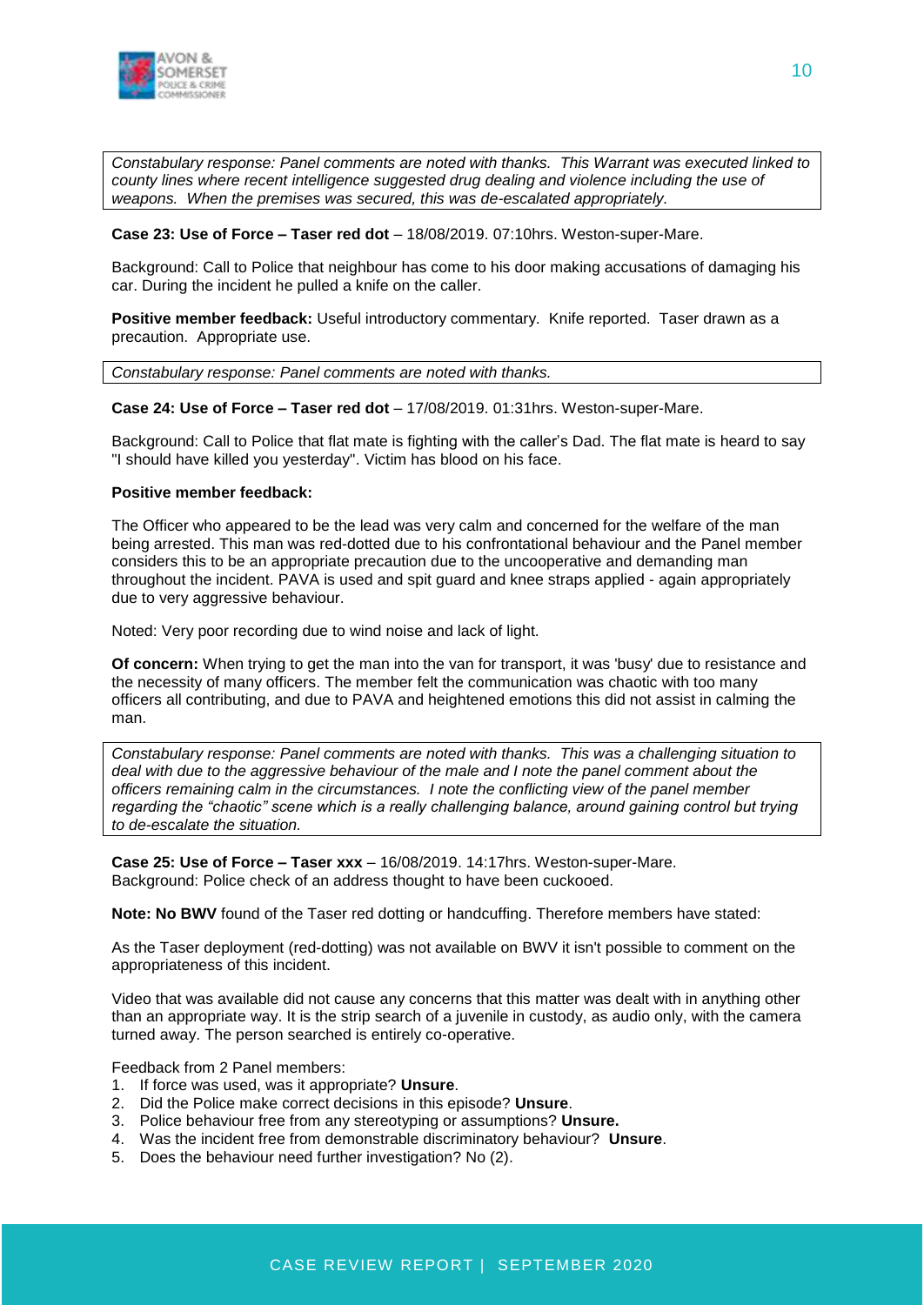

*Constabulary response: Panel comments are noted with thanks. This Warrant was executed linked to county lines where recent intelligence suggested drug dealing and violence including the use of weapons. When the premises was secured, this was de-escalated appropriately.*

#### **Case 23: Use of Force – Taser red dot** – 18/08/2019. 07:10hrs. Weston-super-Mare.

Background: Call to Police that neighbour has come to his door making accusations of damaging his car. During the incident he pulled a knife on the caller.

**Positive member feedback:** Useful introductory commentary. Knife reported. Taser drawn as a precaution. Appropriate use.

*Constabulary response: Panel comments are noted with thanks.* 

**Case 24: Use of Force – Taser red dot** – 17/08/2019. 01:31hrs. Weston-super-Mare.

Background: Call to Police that flat mate is fighting with the caller's Dad. The flat mate is heard to say "I should have killed you yesterday". Victim has blood on his face.

#### **Positive member feedback:**

The Officer who appeared to be the lead was very calm and concerned for the welfare of the man being arrested. This man was red-dotted due to his confrontational behaviour and the Panel member considers this to be an appropriate precaution due to the uncooperative and demanding man throughout the incident. PAVA is used and spit guard and knee straps applied - again appropriately due to very aggressive behaviour.

Noted: Very poor recording due to wind noise and lack of light.

**Of concern:** When trying to get the man into the van for transport, it was 'busy' due to resistance and the necessity of many officers. The member felt the communication was chaotic with too many officers all contributing, and due to PAVA and heightened emotions this did not assist in calming the man.

*Constabulary response: Panel comments are noted with thanks. This was a challenging situation to deal with due to the aggressive behaviour of the male and I note the panel comment about the officers remaining calm in the circumstances. I note the conflicting view of the panel member regarding the "chaotic" scene which is a really challenging balance, around gaining control but trying to de-escalate the situation.*

**Case 25: Use of Force – Taser xxx** – 16/08/2019. 14:17hrs. Weston-super-Mare. Background: Police check of an address thought to have been cuckooed.

**Note: No BWV** found of the Taser red dotting or handcuffing. Therefore members have stated:

As the Taser deployment (red-dotting) was not available on BWV it isn't possible to comment on the appropriateness of this incident.

Video that was available did not cause any concerns that this matter was dealt with in anything other than an appropriate way. It is the strip search of a juvenile in custody, as audio only, with the camera turned away. The person searched is entirely co-operative.

Feedback from 2 Panel members:

- 1. If force was used, was it appropriate? **Unsure**.
- 2. Did the Police make correct decisions in this episode? **Unsure**.
- 3. Police behaviour free from any stereotyping or assumptions? **Unsure.**
- 4. Was the incident free from demonstrable discriminatory behaviour? **Unsure**.
- 5. Does the behaviour need further investigation? No (2).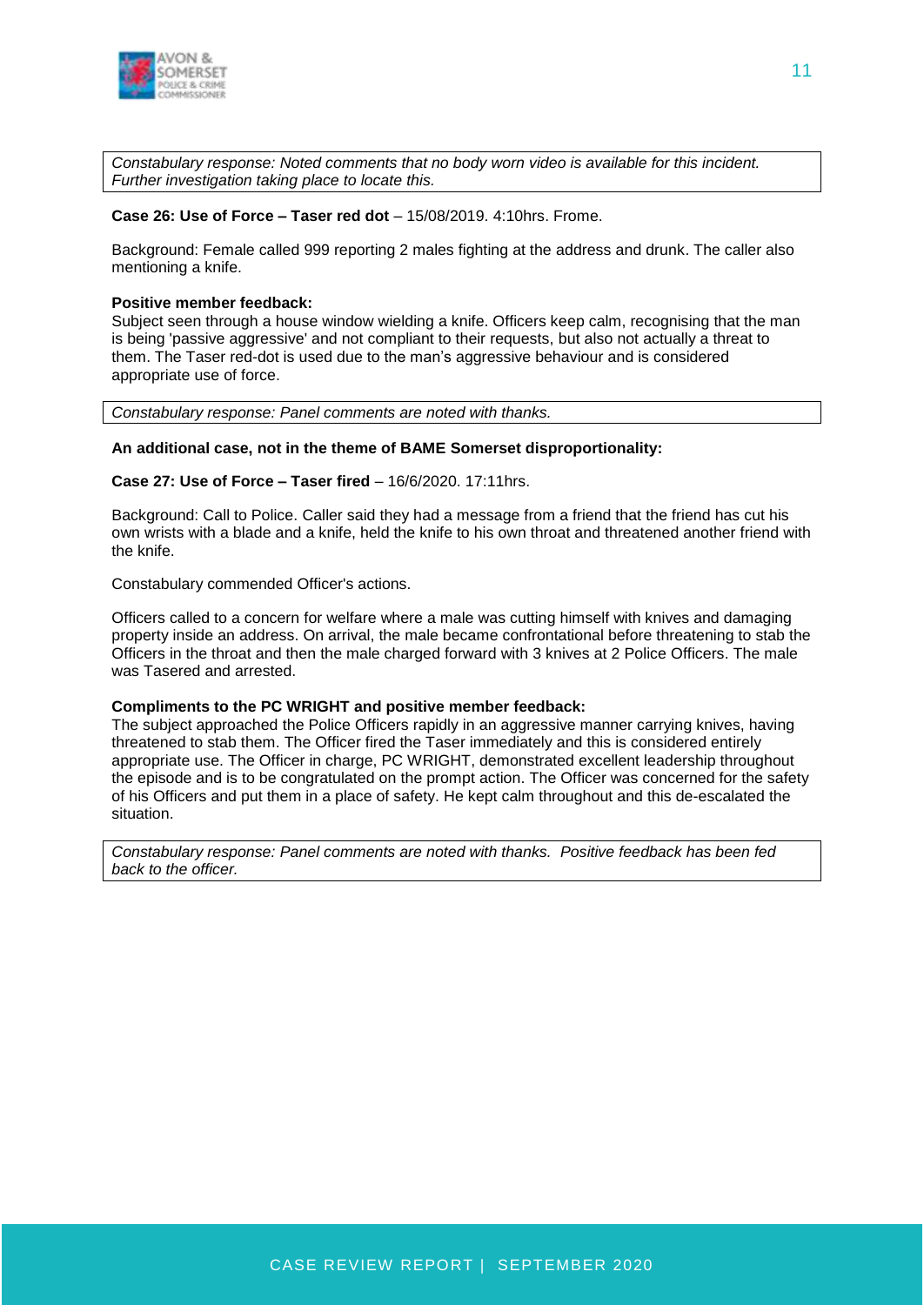

*Constabulary response: Noted comments that no body worn video is available for this incident. Further investigation taking place to locate this.*

#### **Case 26: Use of Force – Taser red dot** – 15/08/2019. 4:10hrs. Frome.

Background: Female called 999 reporting 2 males fighting at the address and drunk. The caller also mentioning a knife.

#### **Positive member feedback:**

Subject seen through a house window wielding a knife. Officers keep calm, recognising that the man is being 'passive aggressive' and not compliant to their requests, but also not actually a threat to them. The Taser red-dot is used due to the man's aggressive behaviour and is considered appropriate use of force.

*Constabulary response: Panel comments are noted with thanks.* 

#### **An additional case, not in the theme of BAME Somerset disproportionality:**

#### **Case 27: Use of Force – Taser fired** – 16/6/2020. 17:11hrs.

Background: Call to Police. Caller said they had a message from a friend that the friend has cut his own wrists with a blade and a knife, held the knife to his own throat and threatened another friend with the knife.

Constabulary commended Officer's actions.

Officers called to a concern for welfare where a male was cutting himself with knives and damaging property inside an address. On arrival, the male became confrontational before threatening to stab the Officers in the throat and then the male charged forward with 3 knives at 2 Police Officers. The male was Tasered and arrested.

#### **Compliments to the PC WRIGHT and positive member feedback:**

The subject approached the Police Officers rapidly in an aggressive manner carrying knives, having threatened to stab them. The Officer fired the Taser immediately and this is considered entirely appropriate use. The Officer in charge, PC WRIGHT, demonstrated excellent leadership throughout the episode and is to be congratulated on the prompt action. The Officer was concerned for the safety of his Officers and put them in a place of safety. He kept calm throughout and this de-escalated the situation.

*Constabulary response: Panel comments are noted with thanks. Positive feedback has been fed back to the officer.*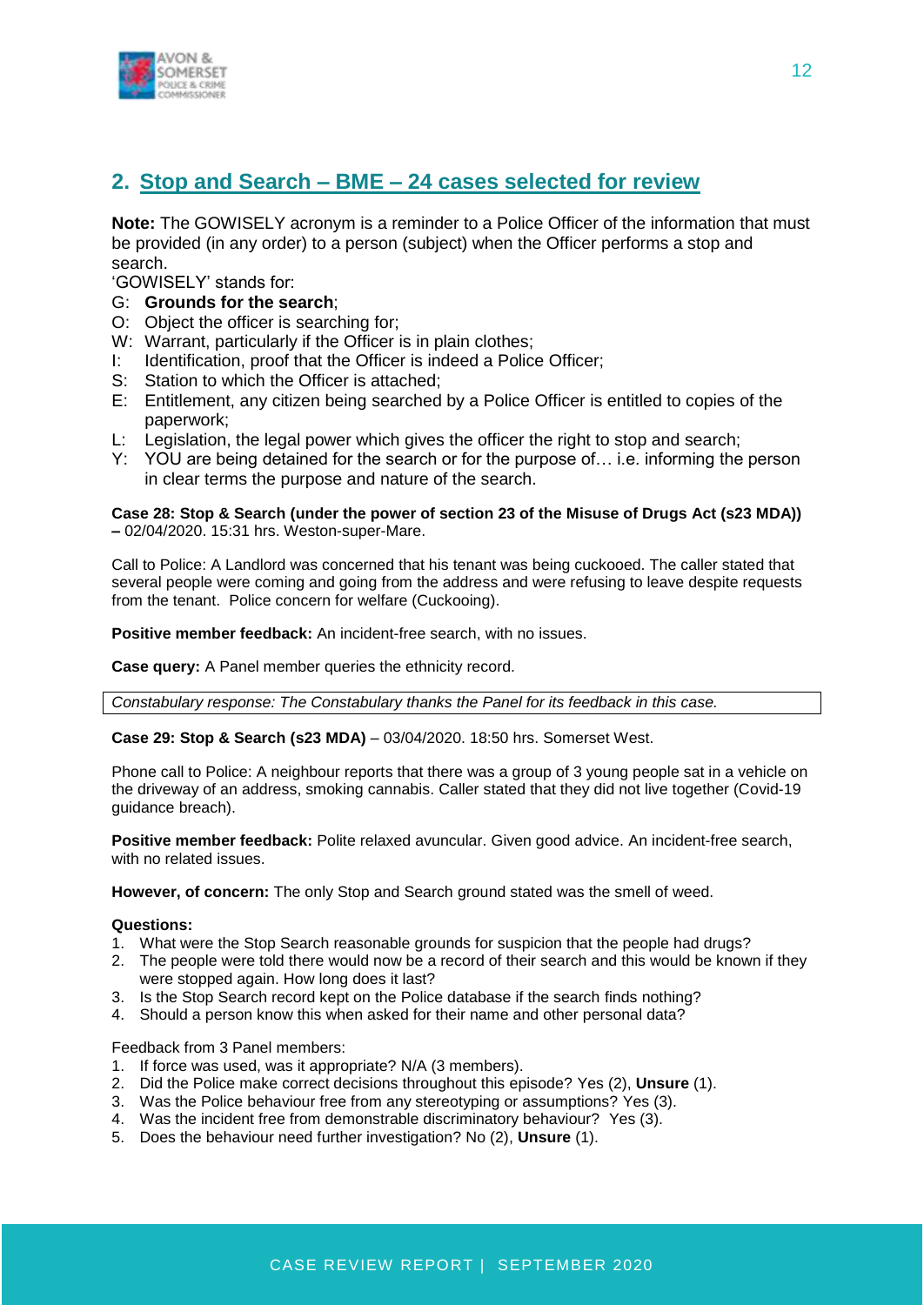

# **2. Stop and Search – BME – 24 cases selected for review**

**Note:** The GOWISELY acronym is a reminder to a Police Officer of the information that must be provided (in any order) to a person (subject) when the Officer performs a stop and search.

'GOWISELY' stands for:

- G: **Grounds for the search**;
- O: Object the officer is searching for;
- W: Warrant, particularly if the Officer is in plain clothes;
- I: Identification, proof that the Officer is indeed a Police Officer;
- S: Station to which the Officer is attached;
- E: Entitlement, any citizen being searched by a Police Officer is entitled to copies of the paperwork;
- L: Legislation, the legal power which gives the officer the right to stop and search;
- Y: YOU are being detained for the search or for the purpose of… i.e. informing the person in clear terms the purpose and nature of the search.

#### **Case 28: Stop & Search (under the power of section 23 of the Misuse of Drugs Act (s23 MDA)) –** 02/04/2020. 15:31 hrs. Weston-super-Mare.

Call to Police: A Landlord was concerned that his tenant was being cuckooed. The caller stated that several people were coming and going from the address and were refusing to leave despite requests from the tenant. Police concern for welfare (Cuckooing).

**Positive member feedback:** An incident-free search, with no issues.

**Case query:** A Panel member queries the ethnicity record.

*Constabulary response: The Constabulary thanks the Panel for its feedback in this case.*

**Case 29: Stop & Search (s23 MDA)** – 03/04/2020. 18:50 hrs. Somerset West.

Phone call to Police: A neighbour reports that there was a group of 3 young people sat in a vehicle on the driveway of an address, smoking cannabis. Caller stated that they did not live together (Covid-19 guidance breach).

**Positive member feedback:** Polite relaxed avuncular. Given good advice. An incident-free search, with no related issues.

**However, of concern:** The only Stop and Search ground stated was the smell of weed.

#### **Questions:**

- 1. What were the Stop Search reasonable grounds for suspicion that the people had drugs?
- 2. The people were told there would now be a record of their search and this would be known if they were stopped again. How long does it last?
- 3. Is the Stop Search record kept on the Police database if the search finds nothing?
- 4. Should a person know this when asked for their name and other personal data?

Feedback from 3 Panel members:

- 1. If force was used, was it appropriate? N/A (3 members).
- 2. Did the Police make correct decisions throughout this episode? Yes (2), **Unsure** (1).
- 3. Was the Police behaviour free from any stereotyping or assumptions? Yes (3).
- 4. Was the incident free from demonstrable discriminatory behaviour? Yes (3).
- 5. Does the behaviour need further investigation? No (2), **Unsure** (1).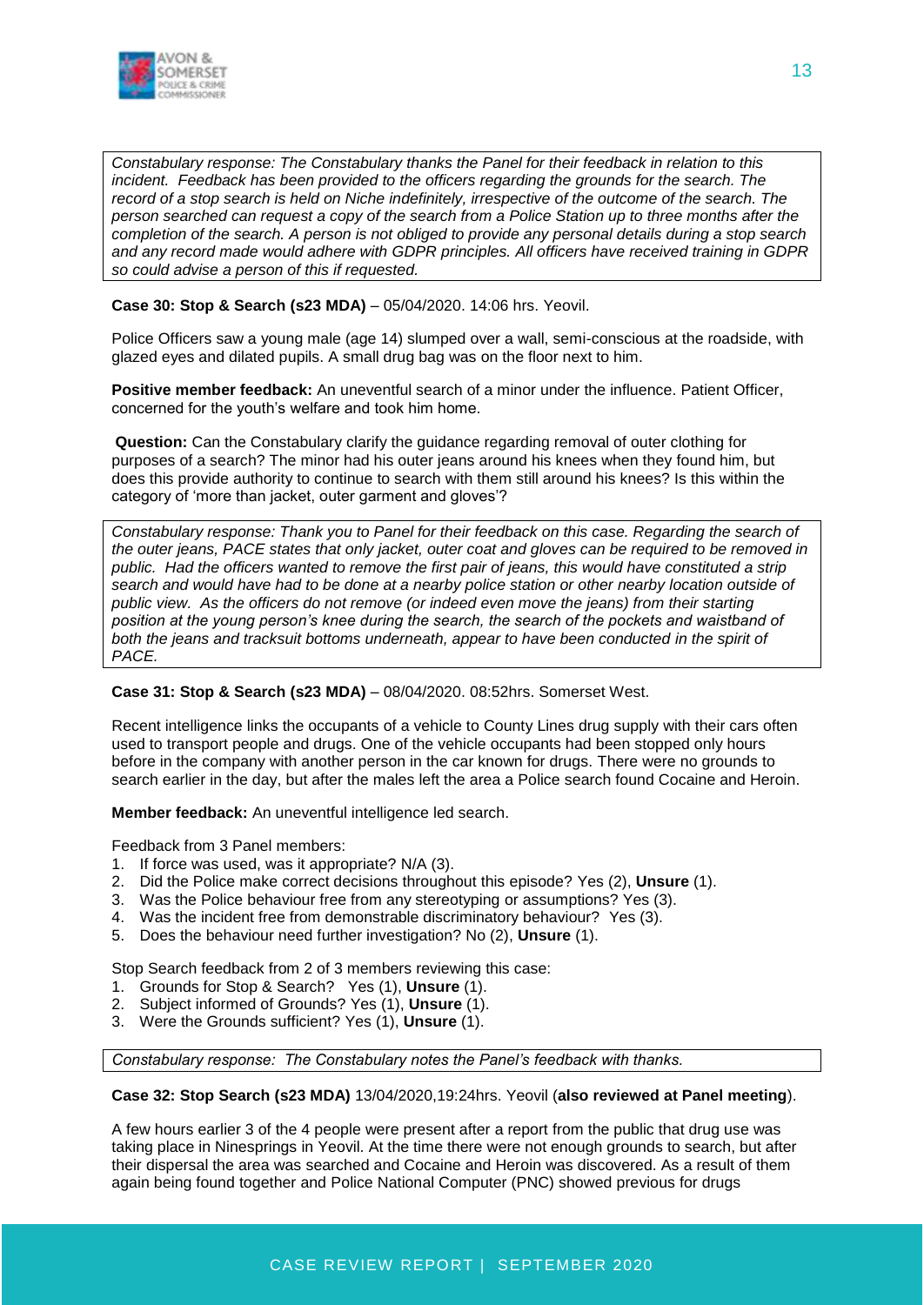

*Constabulary response: The Constabulary thanks the Panel for their feedback in relation to this incident. Feedback has been provided to the officers regarding the grounds for the search. The record of a stop search is held on Niche indefinitely, irrespective of the outcome of the search. The person searched can request a copy of the search from a Police Station up to three months after the completion of the search. A person is not obliged to provide any personal details during a stop search and any record made would adhere with GDPR principles. All officers have received training in GDPR so could advise a person of this if requested.*

#### **Case 30: Stop & Search (s23 MDA)** – 05/04/2020. 14:06 hrs. Yeovil.

Police Officers saw a young male (age 14) slumped over a wall, semi-conscious at the roadside, with glazed eyes and dilated pupils. A small drug bag was on the floor next to him.

**Positive member feedback:** An uneventful search of a minor under the influence. Patient Officer, concerned for the youth's welfare and took him home.

**Question:** Can the Constabulary clarify the guidance regarding removal of outer clothing for purposes of a search? The minor had his outer jeans around his knees when they found him, but does this provide authority to continue to search with them still around his knees? Is this within the category of 'more than jacket, outer garment and gloves'?

*Constabulary response: Thank you to Panel for their feedback on this case. Regarding the search of the outer jeans, PACE states that only jacket, outer coat and gloves can be required to be removed in public. Had the officers wanted to remove the first pair of jeans, this would have constituted a strip search and would have had to be done at a nearby police station or other nearby location outside of public view. As the officers do not remove (or indeed even move the jeans) from their starting position at the young person's knee during the search, the search of the pockets and waistband of both the jeans and tracksuit bottoms underneath, appear to have been conducted in the spirit of PACE.*

#### **Case 31: Stop & Search (s23 MDA)** – 08/04/2020. 08:52hrs. Somerset West.

Recent intelligence links the occupants of a vehicle to County Lines drug supply with their cars often used to transport people and drugs. One of the vehicle occupants had been stopped only hours before in the company with another person in the car known for drugs. There were no grounds to search earlier in the day, but after the males left the area a Police search found Cocaine and Heroin.

**Member feedback:** An uneventful intelligence led search.

Feedback from 3 Panel members:

- 1. If force was used, was it appropriate? N/A (3).
- 2. Did the Police make correct decisions throughout this episode? Yes (2), **Unsure** (1).
- 3. Was the Police behaviour free from any stereotyping or assumptions? Yes (3).
- 4. Was the incident free from demonstrable discriminatory behaviour? Yes (3).
- 5. Does the behaviour need further investigation? No (2), **Unsure** (1).

Stop Search feedback from 2 of 3 members reviewing this case:

- 1. Grounds for Stop & Search? Yes (1), **Unsure** (1).
- 2. Subject informed of Grounds? Yes (1), **Unsure** (1).
- 3. Were the Grounds sufficient? Yes (1), **Unsure** (1).

*Constabulary response: The Constabulary notes the Panel's feedback with thanks.*

**Case 32: Stop Search (s23 MDA)** 13/04/2020,19:24hrs. Yeovil (**also reviewed at Panel meeting**).

A few hours earlier 3 of the 4 people were present after a report from the public that drug use was taking place in Ninesprings in Yeovil. At the time there were not enough grounds to search, but after their dispersal the area was searched and Cocaine and Heroin was discovered. As a result of them again being found together and Police National Computer (PNC) showed previous for drugs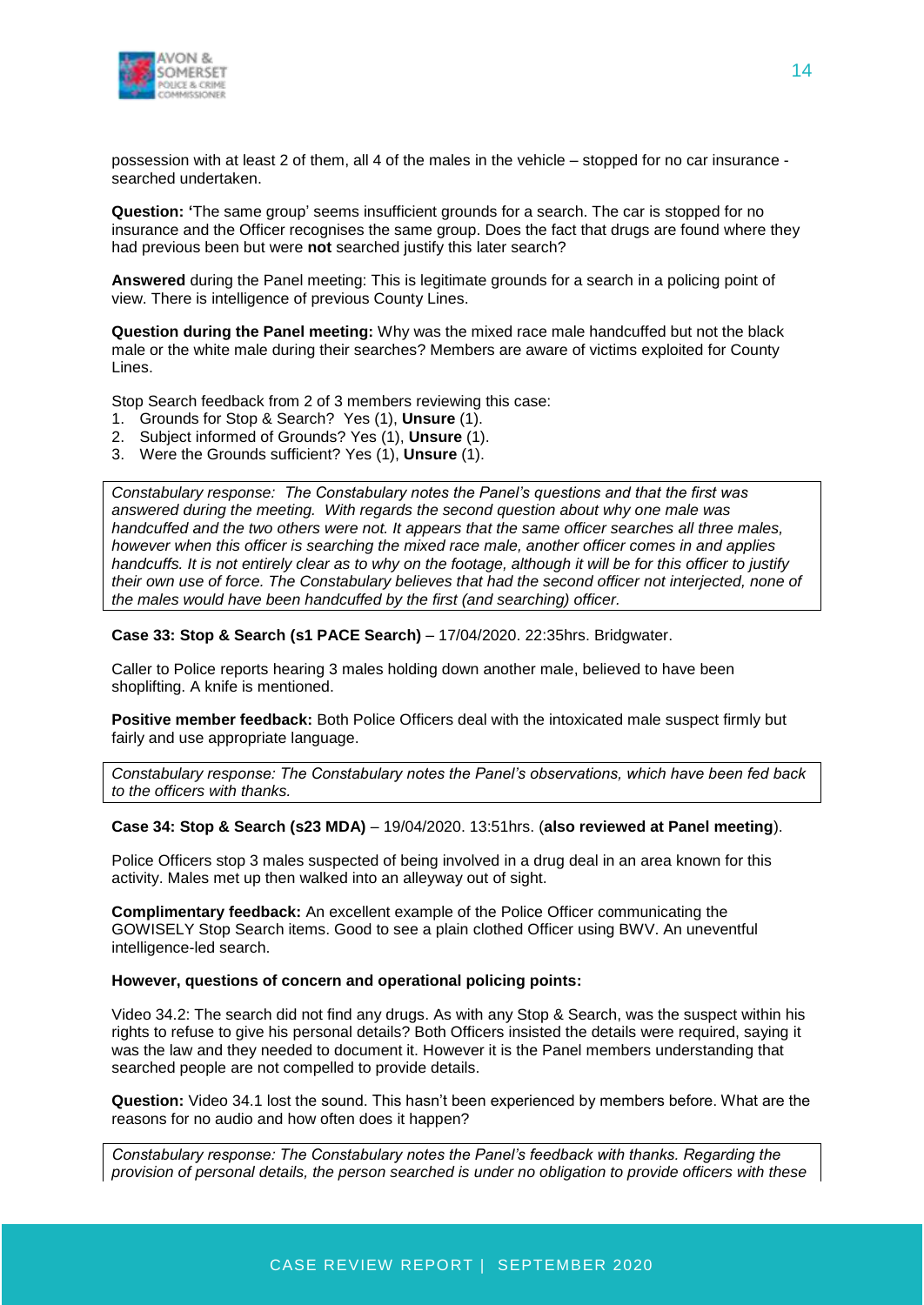

possession with at least 2 of them, all 4 of the males in the vehicle – stopped for no car insurance searched undertaken.

**Question: '**The same group' seems insufficient grounds for a search. The car is stopped for no insurance and the Officer recognises the same group. Does the fact that drugs are found where they had previous been but were **not** searched justify this later search?

**Answered** during the Panel meeting: This is legitimate grounds for a search in a policing point of view. There is intelligence of previous County Lines.

**Question during the Panel meeting:** Why was the mixed race male handcuffed but not the black male or the white male during their searches? Members are aware of victims exploited for County Lines.

Stop Search feedback from 2 of 3 members reviewing this case:

- 1. Grounds for Stop & Search? Yes (1), **Unsure** (1).
- 2. Subject informed of Grounds? Yes (1), **Unsure** (1).
- 3. Were the Grounds sufficient? Yes (1), **Unsure** (1).

*Constabulary response: The Constabulary notes the Panel's questions and that the first was answered during the meeting. With regards the second question about why one male was handcuffed and the two others were not. It appears that the same officer searches all three males, however when this officer is searching the mixed race male, another officer comes in and applies handcuffs. It is not entirely clear as to why on the footage, although it will be for this officer to justify their own use of force. The Constabulary believes that had the second officer not interjected, none of the males would have been handcuffed by the first (and searching) officer.*

**Case 33: Stop & Search (s1 PACE Search)** – 17/04/2020. 22:35hrs. Bridgwater.

Caller to Police reports hearing 3 males holding down another male, believed to have been shoplifting. A knife is mentioned.

**Positive member feedback:** Both Police Officers deal with the intoxicated male suspect firmly but fairly and use appropriate language.

*Constabulary response: The Constabulary notes the Panel's observations, which have been fed back to the officers with thanks.*

#### **Case 34: Stop & Search (s23 MDA)** – 19/04/2020. 13:51hrs. (**also reviewed at Panel meeting**).

Police Officers stop 3 males suspected of being involved in a drug deal in an area known for this activity. Males met up then walked into an alleyway out of sight.

**Complimentary feedback:** An excellent example of the Police Officer communicating the GOWISELY Stop Search items. Good to see a plain clothed Officer using BWV. An uneventful intelligence-led search.

#### **However, questions of concern and operational policing points:**

Video 34.2: The search did not find any drugs. As with any Stop & Search, was the suspect within his rights to refuse to give his personal details? Both Officers insisted the details were required, saying it was the law and they needed to document it. However it is the Panel members understanding that searched people are not compelled to provide details.

**Question:** Video 34.1 lost the sound. This hasn't been experienced by members before. What are the reasons for no audio and how often does it happen?

*Constabulary response: The Constabulary notes the Panel's feedback with thanks. Regarding the provision of personal details, the person searched is under no obligation to provide officers with these*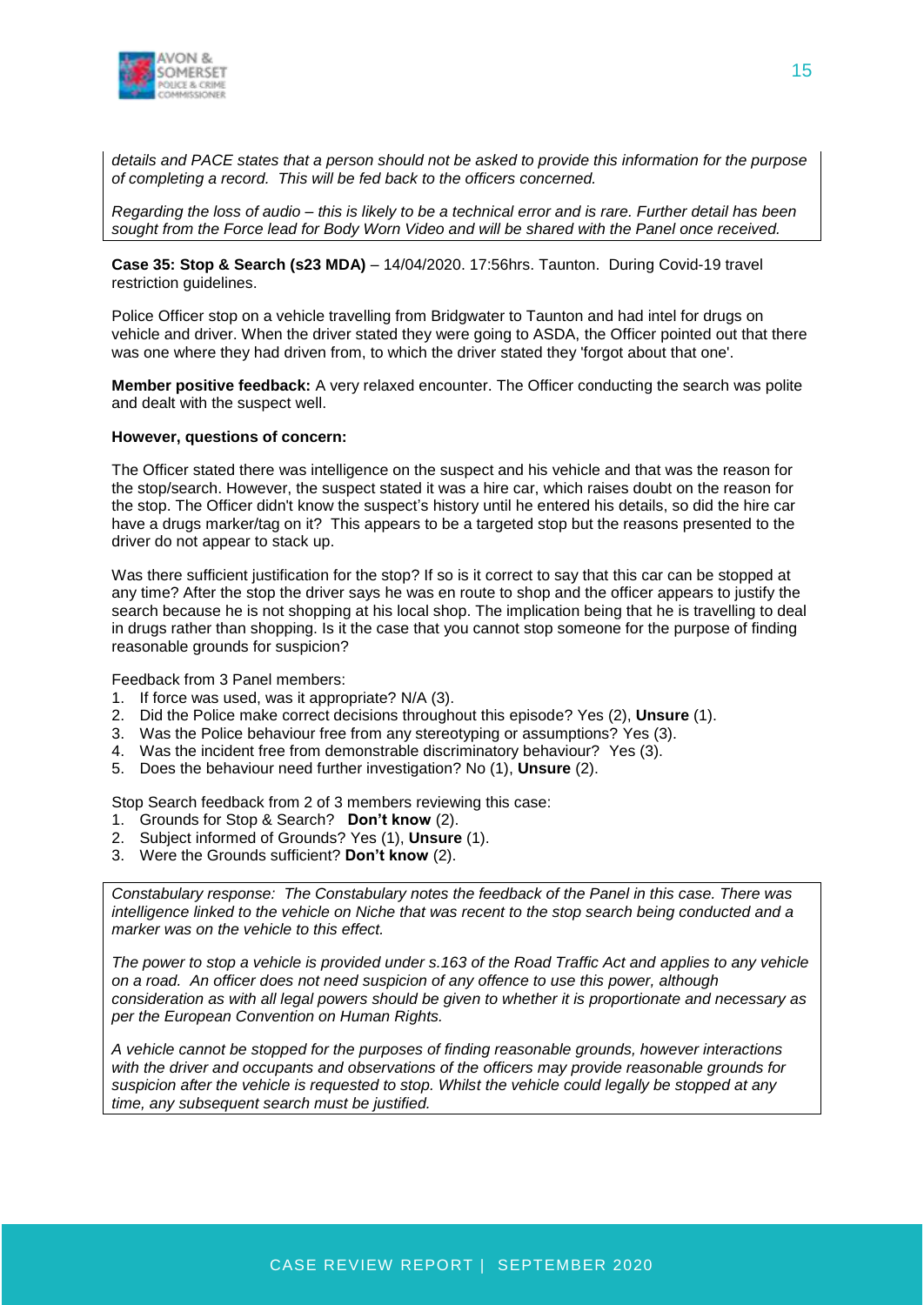

*details and PACE states that a person should not be asked to provide this information for the purpose of completing a record. This will be fed back to the officers concerned.*

*Regarding the loss of audio – this is likely to be a technical error and is rare. Further detail has been sought from the Force lead for Body Worn Video and will be shared with the Panel once received.*

**Case 35: Stop & Search (s23 MDA)** – 14/04/2020. 17:56hrs. Taunton. During Covid-19 travel restriction guidelines.

Police Officer stop on a vehicle travelling from Bridgwater to Taunton and had intel for drugs on vehicle and driver. When the driver stated they were going to ASDA, the Officer pointed out that there was one where they had driven from, to which the driver stated they 'forgot about that one'.

**Member positive feedback:** A very relaxed encounter. The Officer conducting the search was polite and dealt with the suspect well.

#### **However, questions of concern:**

The Officer stated there was intelligence on the suspect and his vehicle and that was the reason for the stop/search. However, the suspect stated it was a hire car, which raises doubt on the reason for the stop. The Officer didn't know the suspect's history until he entered his details, so did the hire car have a drugs marker/tag on it? This appears to be a targeted stop but the reasons presented to the driver do not appear to stack up.

Was there sufficient justification for the stop? If so is it correct to say that this car can be stopped at any time? After the stop the driver says he was en route to shop and the officer appears to justify the search because he is not shopping at his local shop. The implication being that he is travelling to deal in drugs rather than shopping. Is it the case that you cannot stop someone for the purpose of finding reasonable grounds for suspicion?

Feedback from 3 Panel members:

- 1. If force was used, was it appropriate? N/A (3).
- 2. Did the Police make correct decisions throughout this episode? Yes (2), **Unsure** (1).
- 3. Was the Police behaviour free from any stereotyping or assumptions? Yes (3).
- 4. Was the incident free from demonstrable discriminatory behaviour? Yes (3).
- 5. Does the behaviour need further investigation? No (1), **Unsure** (2).

Stop Search feedback from 2 of 3 members reviewing this case:

- 1. Grounds for Stop & Search? **Don't know** (2).
- 2. Subject informed of Grounds? Yes (1), **Unsure** (1).
- 3. Were the Grounds sufficient? **Don't know** (2).

*Constabulary response: The Constabulary notes the feedback of the Panel in this case. There was intelligence linked to the vehicle on Niche that was recent to the stop search being conducted and a marker was on the vehicle to this effect.*

*The power to stop a vehicle is provided under s.163 of the Road Traffic Act and applies to any vehicle on a road. An officer does not need suspicion of any offence to use this power, although consideration as with all legal powers should be given to whether it is proportionate and necessary as per the European Convention on Human Rights.*

*A vehicle cannot be stopped for the purposes of finding reasonable grounds, however interactions with the driver and occupants and observations of the officers may provide reasonable grounds for suspicion after the vehicle is requested to stop. Whilst the vehicle could legally be stopped at any time, any subsequent search must be justified.*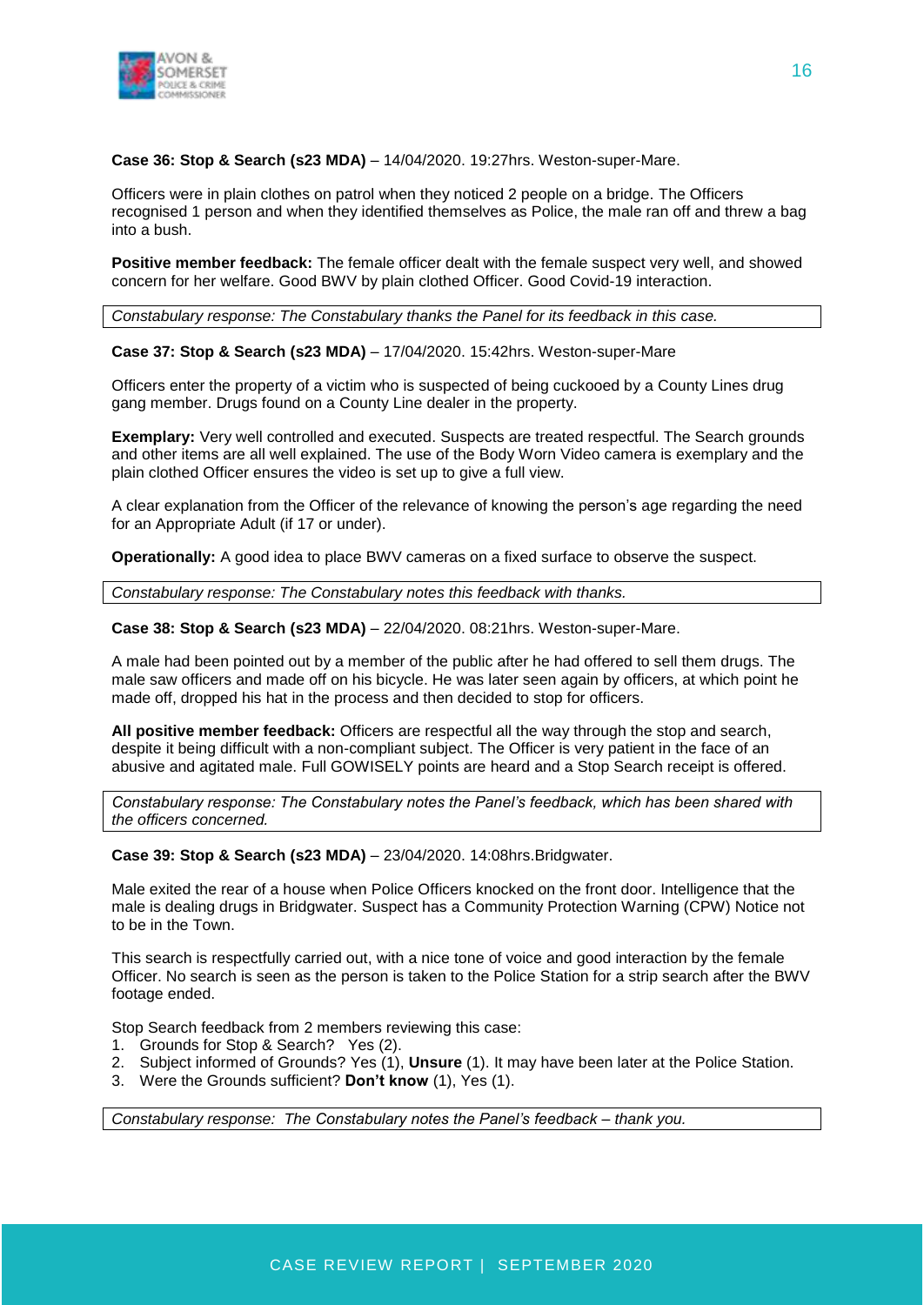

**Case 36: Stop & Search (s23 MDA)** – 14/04/2020. 19:27hrs. Weston-super-Mare.

Officers were in plain clothes on patrol when they noticed 2 people on a bridge. The Officers recognised 1 person and when they identified themselves as Police, the male ran off and threw a bag into a bush.

**Positive member feedback:** The female officer dealt with the female suspect very well, and showed concern for her welfare. Good BWV by plain clothed Officer. Good Covid-19 interaction.

*Constabulary response: The Constabulary thanks the Panel for its feedback in this case.*

**Case 37: Stop & Search (s23 MDA)** – 17/04/2020. 15:42hrs. Weston-super-Mare

Officers enter the property of a victim who is suspected of being cuckooed by a County Lines drug gang member. Drugs found on a County Line dealer in the property.

**Exemplary:** Very well controlled and executed. Suspects are treated respectful. The Search grounds and other items are all well explained. The use of the Body Worn Video camera is exemplary and the plain clothed Officer ensures the video is set up to give a full view.

A clear explanation from the Officer of the relevance of knowing the person's age regarding the need for an Appropriate Adult (if 17 or under).

**Operationally:** A good idea to place BWV cameras on a fixed surface to observe the suspect.

*Constabulary response: The Constabulary notes this feedback with thanks.*

**Case 38: Stop & Search (s23 MDA)** – 22/04/2020. 08:21hrs. Weston-super-Mare.

A male had been pointed out by a member of the public after he had offered to sell them drugs. The male saw officers and made off on his bicycle. He was later seen again by officers, at which point he made off, dropped his hat in the process and then decided to stop for officers.

**All positive member feedback:** Officers are respectful all the way through the stop and search, despite it being difficult with a non-compliant subject. The Officer is very patient in the face of an abusive and agitated male. Full GOWISELY points are heard and a Stop Search receipt is offered.

*Constabulary response: The Constabulary notes the Panel's feedback, which has been shared with the officers concerned.* 

**Case 39: Stop & Search (s23 MDA)** – 23/04/2020. 14:08hrs.Bridgwater.

Male exited the rear of a house when Police Officers knocked on the front door. Intelligence that the male is dealing drugs in Bridgwater. Suspect has a Community Protection Warning (CPW) Notice not to be in the Town.

This search is respectfully carried out, with a nice tone of voice and good interaction by the female Officer. No search is seen as the person is taken to the Police Station for a strip search after the BWV footage ended.

Stop Search feedback from 2 members reviewing this case:

- 1. Grounds for Stop & Search? Yes (2).
- 2. Subject informed of Grounds? Yes (1), **Unsure** (1). It may have been later at the Police Station.
- 3. Were the Grounds sufficient? **Don't know** (1), Yes (1).

*Constabulary response: The Constabulary notes the Panel's feedback – thank you.*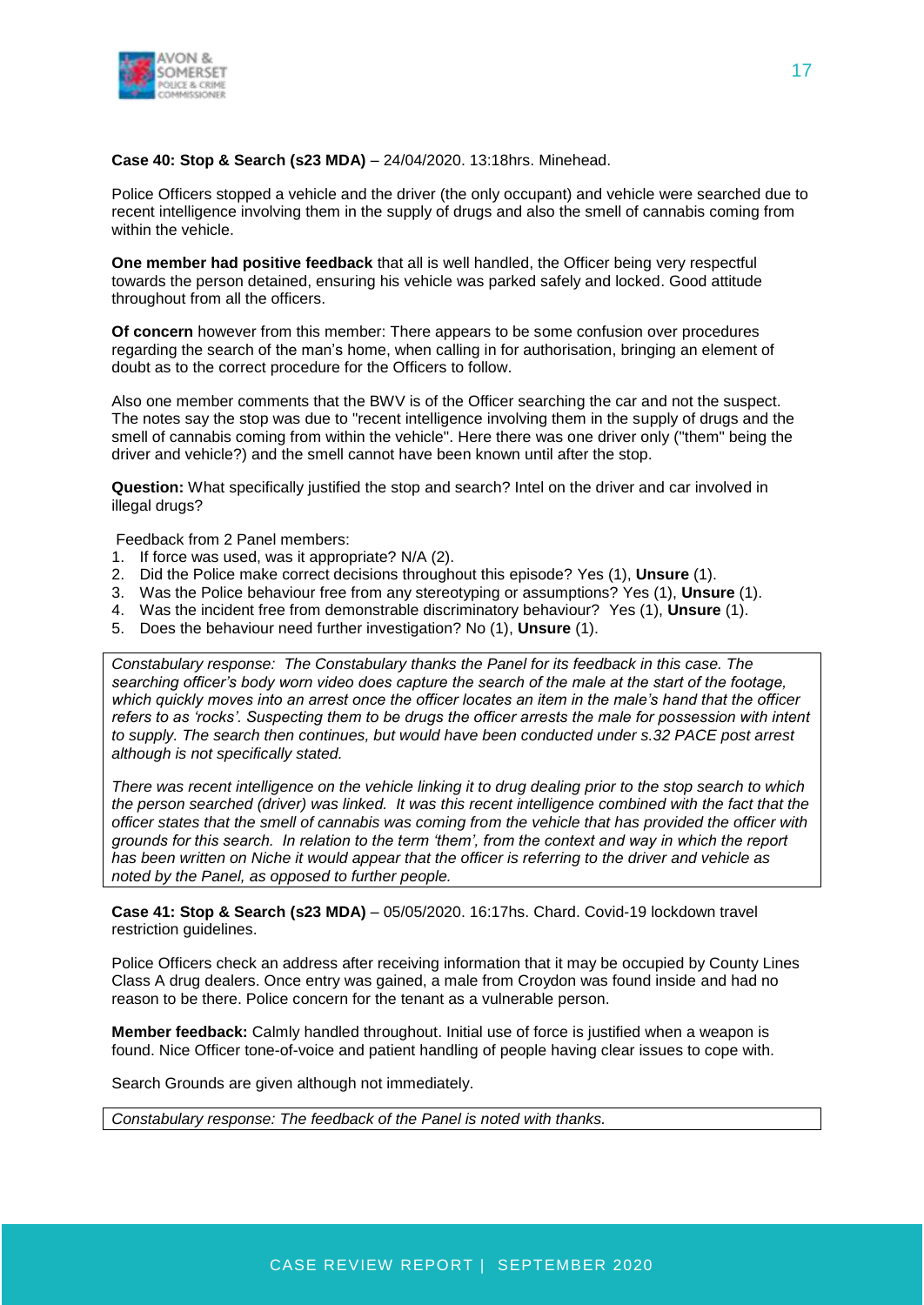

#### **Case 40: Stop & Search (s23 MDA)** – 24/04/2020. 13:18hrs. Minehead.

Police Officers stopped a vehicle and the driver (the only occupant) and vehicle were searched due to recent intelligence involving them in the supply of drugs and also the smell of cannabis coming from within the vehicle.

**One member had positive feedback** that all is well handled, the Officer being very respectful towards the person detained, ensuring his vehicle was parked safely and locked. Good attitude throughout from all the officers.

**Of concern** however from this member: There appears to be some confusion over procedures regarding the search of the man's home, when calling in for authorisation, bringing an element of doubt as to the correct procedure for the Officers to follow.

Also one member comments that the BWV is of the Officer searching the car and not the suspect. The notes say the stop was due to "recent intelligence involving them in the supply of drugs and the smell of cannabis coming from within the vehicle". Here there was one driver only ("them" being the driver and vehicle?) and the smell cannot have been known until after the stop.

**Question:** What specifically justified the stop and search? Intel on the driver and car involved in illegal drugs?

Feedback from 2 Panel members:

- 1. If force was used, was it appropriate? N/A (2).
- 2. Did the Police make correct decisions throughout this episode? Yes (1), **Unsure** (1).
- 3. Was the Police behaviour free from any stereotyping or assumptions? Yes (1), **Unsure** (1).
- 4. Was the incident free from demonstrable discriminatory behaviour? Yes (1), **Unsure** (1).
- 5. Does the behaviour need further investigation? No (1), **Unsure** (1).

*Constabulary response: The Constabulary thanks the Panel for its feedback in this case. The searching officer's body worn video does capture the search of the male at the start of the footage, which quickly moves into an arrest once the officer locates an item in the male's hand that the officer refers to as 'rocks'. Suspecting them to be drugs the officer arrests the male for possession with intent to supply. The search then continues, but would have been conducted under s.32 PACE post arrest although is not specifically stated.*

*There was recent intelligence on the vehicle linking it to drug dealing prior to the stop search to which the person searched (driver) was linked. It was this recent intelligence combined with the fact that the officer states that the smell of cannabis was coming from the vehicle that has provided the officer with grounds for this search. In relation to the term 'them', from the context and way in which the report has been written on Niche it would appear that the officer is referring to the driver and vehicle as noted by the Panel, as opposed to further people.*

**Case 41: Stop & Search (s23 MDA)** – 05/05/2020. 16:17hs. Chard. Covid-19 lockdown travel restriction guidelines.

Police Officers check an address after receiving information that it may be occupied by County Lines Class A drug dealers. Once entry was gained, a male from Croydon was found inside and had no reason to be there. Police concern for the tenant as a vulnerable person.

**Member feedback:** Calmly handled throughout. Initial use of force is justified when a weapon is found. Nice Officer tone-of-voice and patient handling of people having clear issues to cope with.

Search Grounds are given although not immediately.

*Constabulary response: The feedback of the Panel is noted with thanks.*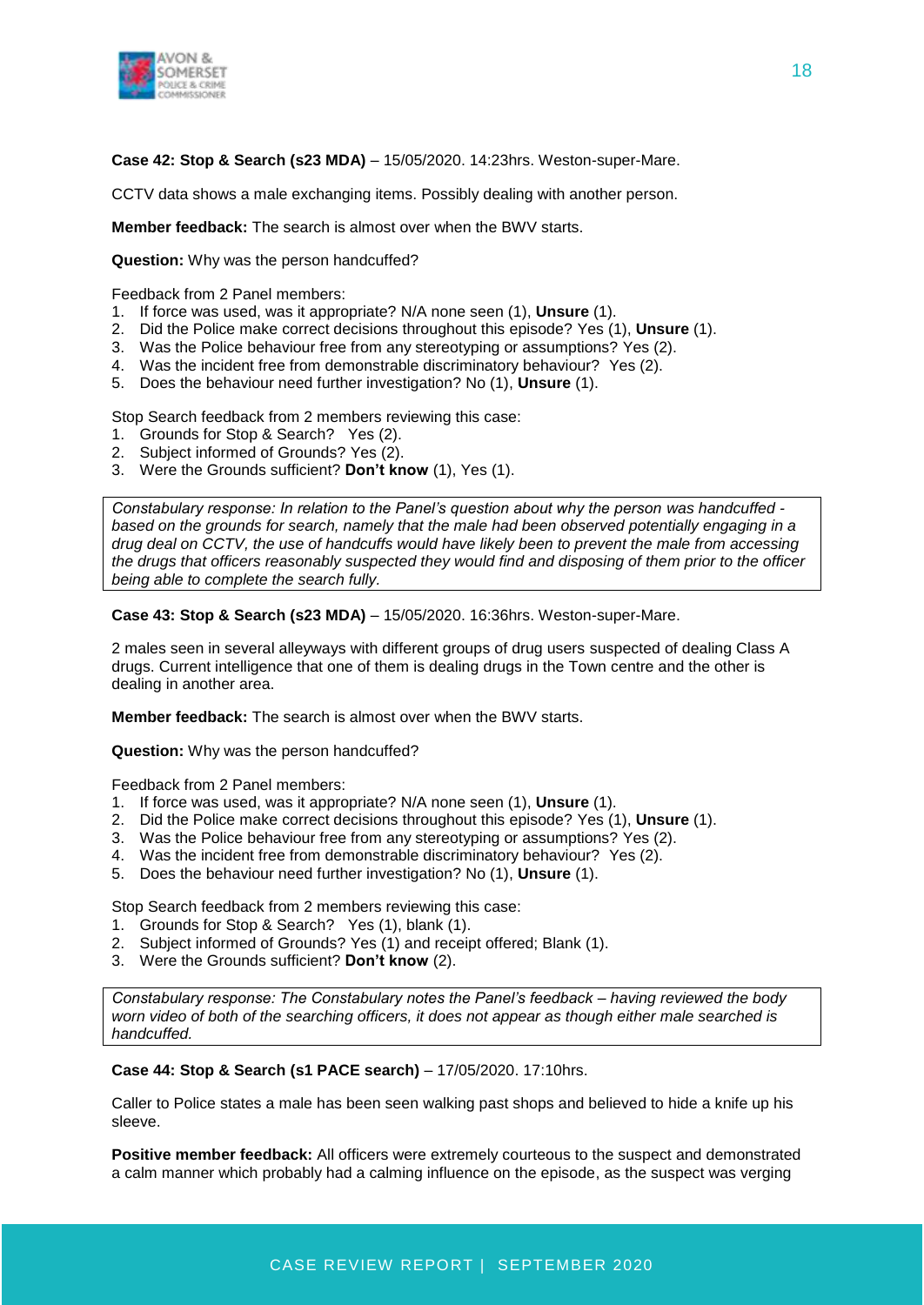

**Case 42: Stop & Search (s23 MDA)** – 15/05/2020. 14:23hrs. Weston-super-Mare.

CCTV data shows a male exchanging items. Possibly dealing with another person.

**Member feedback:** The search is almost over when the BWV starts.

**Question:** Why was the person handcuffed?

Feedback from 2 Panel members:

- 1. If force was used, was it appropriate? N/A none seen (1), **Unsure** (1).
- 2. Did the Police make correct decisions throughout this episode? Yes (1), **Unsure** (1).
- 3. Was the Police behaviour free from any stereotyping or assumptions? Yes (2).
- 4. Was the incident free from demonstrable discriminatory behaviour? Yes (2).
- 5. Does the behaviour need further investigation? No (1), **Unsure** (1).

Stop Search feedback from 2 members reviewing this case:

- 1. Grounds for Stop & Search? Yes (2).
- 2. Subject informed of Grounds? Yes (2).
- 3. Were the Grounds sufficient? **Don't know** (1), Yes (1).

*Constabulary response: In relation to the Panel's question about why the person was handcuffed based on the grounds for search, namely that the male had been observed potentially engaging in a drug deal on CCTV, the use of handcuffs would have likely been to prevent the male from accessing the drugs that officers reasonably suspected they would find and disposing of them prior to the officer being able to complete the search fully.*

**Case 43: Stop & Search (s23 MDA)** – 15/05/2020. 16:36hrs. Weston-super-Mare.

2 males seen in several alleyways with different groups of drug users suspected of dealing Class A drugs. Current intelligence that one of them is dealing drugs in the Town centre and the other is dealing in another area.

**Member feedback:** The search is almost over when the BWV starts.

**Question:** Why was the person handcuffed?

Feedback from 2 Panel members:

- 1. If force was used, was it appropriate? N/A none seen (1), **Unsure** (1).
- 2. Did the Police make correct decisions throughout this episode? Yes (1), **Unsure** (1).
- 3. Was the Police behaviour free from any stereotyping or assumptions? Yes (2).
- 4. Was the incident free from demonstrable discriminatory behaviour? Yes (2).
- 5. Does the behaviour need further investigation? No (1), **Unsure** (1).

Stop Search feedback from 2 members reviewing this case:

- 1. Grounds for Stop & Search? Yes (1), blank (1).
- 2. Subject informed of Grounds? Yes (1) and receipt offered; Blank (1).
- 3. Were the Grounds sufficient? **Don't know** (2).

*Constabulary response: The Constabulary notes the Panel's feedback – having reviewed the body worn video of both of the searching officers, it does not appear as though either male searched is handcuffed.*

**Case 44: Stop & Search (s1 PACE search)** – 17/05/2020. 17:10hrs.

Caller to Police states a male has been seen walking past shops and believed to hide a knife up his sleeve.

**Positive member feedback:** All officers were extremely courteous to the suspect and demonstrated a calm manner which probably had a calming influence on the episode, as the suspect was verging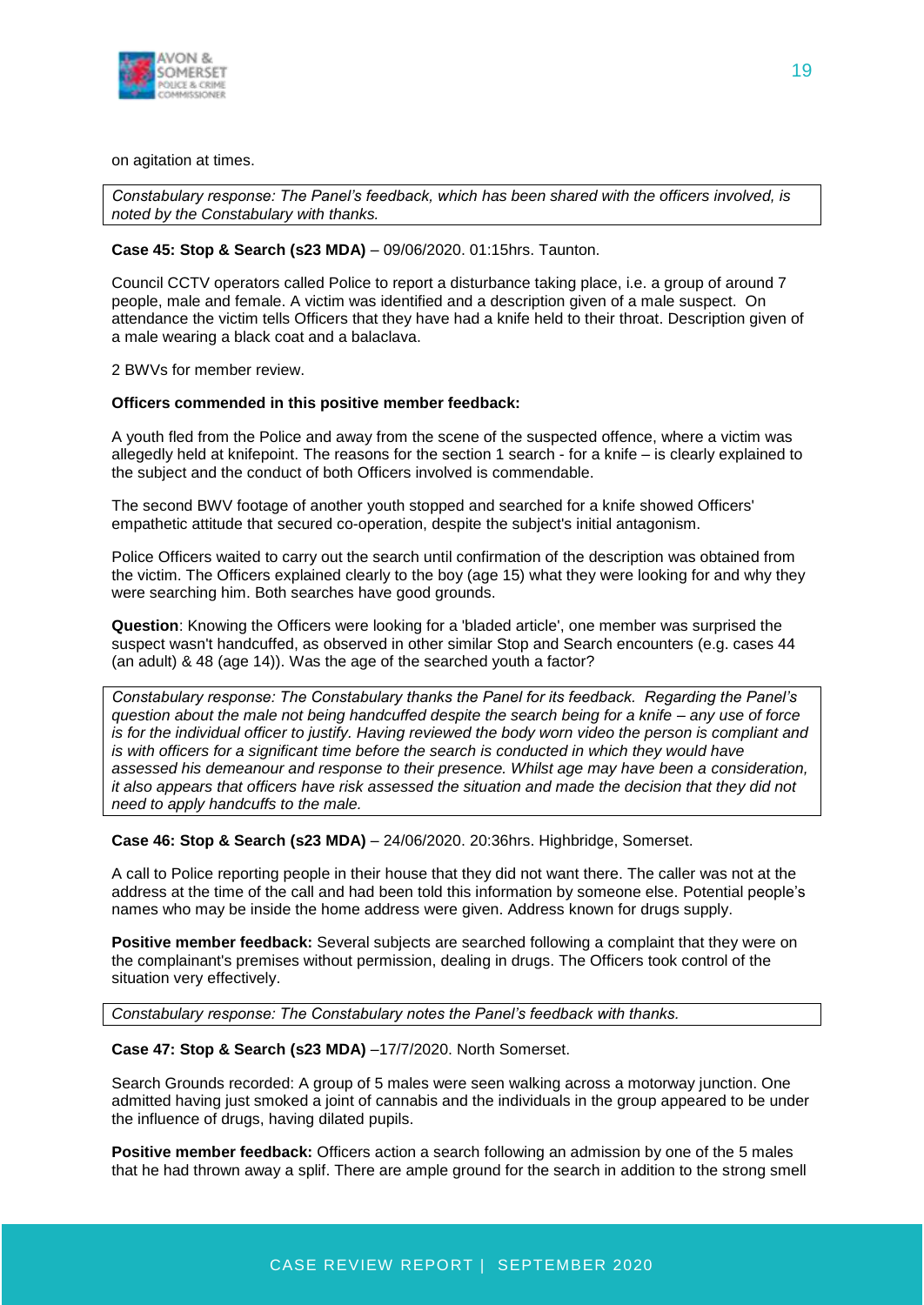

#### on agitation at times.

*Constabulary response: The Panel's feedback, which has been shared with the officers involved, is noted by the Constabulary with thanks.*

#### **Case 45: Stop & Search (s23 MDA)** – 09/06/2020. 01:15hrs. Taunton.

Council CCTV operators called Police to report a disturbance taking place, i.e. a group of around 7 people, male and female. A victim was identified and a description given of a male suspect. On attendance the victim tells Officers that they have had a knife held to their throat. Description given of a male wearing a black coat and a balaclava.

2 BWVs for member review.

#### **Officers commended in this positive member feedback:**

A youth fled from the Police and away from the scene of the suspected offence, where a victim was allegedly held at knifepoint. The reasons for the section 1 search - for a knife – is clearly explained to the subject and the conduct of both Officers involved is commendable.

The second BWV footage of another youth stopped and searched for a knife showed Officers' empathetic attitude that secured co-operation, despite the subject's initial antagonism.

Police Officers waited to carry out the search until confirmation of the description was obtained from the victim. The Officers explained clearly to the boy (age 15) what they were looking for and why they were searching him. Both searches have good grounds.

**Question**: Knowing the Officers were looking for a 'bladed article', one member was surprised the suspect wasn't handcuffed, as observed in other similar Stop and Search encounters (e.g. cases 44 (an adult) & 48 (age 14)). Was the age of the searched youth a factor?

*Constabulary response: The Constabulary thanks the Panel for its feedback. Regarding the Panel's question about the male not being handcuffed despite the search being for a knife – any use of force is for the individual officer to justify. Having reviewed the body worn video the person is compliant and is with officers for a significant time before the search is conducted in which they would have assessed his demeanour and response to their presence. Whilst age may have been a consideration, it also appears that officers have risk assessed the situation and made the decision that they did not need to apply handcuffs to the male.*

**Case 46: Stop & Search (s23 MDA)** – 24/06/2020. 20:36hrs. Highbridge, Somerset.

A call to Police reporting people in their house that they did not want there. The caller was not at the address at the time of the call and had been told this information by someone else. Potential people's names who may be inside the home address were given. Address known for drugs supply.

**Positive member feedback:** Several subjects are searched following a complaint that they were on the complainant's premises without permission, dealing in drugs. The Officers took control of the situation very effectively.

*Constabulary response: The Constabulary notes the Panel's feedback with thanks.*

**Case 47: Stop & Search (s23 MDA)** –17/7/2020. North Somerset.

Search Grounds recorded: A group of 5 males were seen walking across a motorway junction. One admitted having just smoked a joint of cannabis and the individuals in the group appeared to be under the influence of drugs, having dilated pupils.

**Positive member feedback:** Officers action a search following an admission by one of the 5 males that he had thrown away a splif. There are ample ground for the search in addition to the strong smell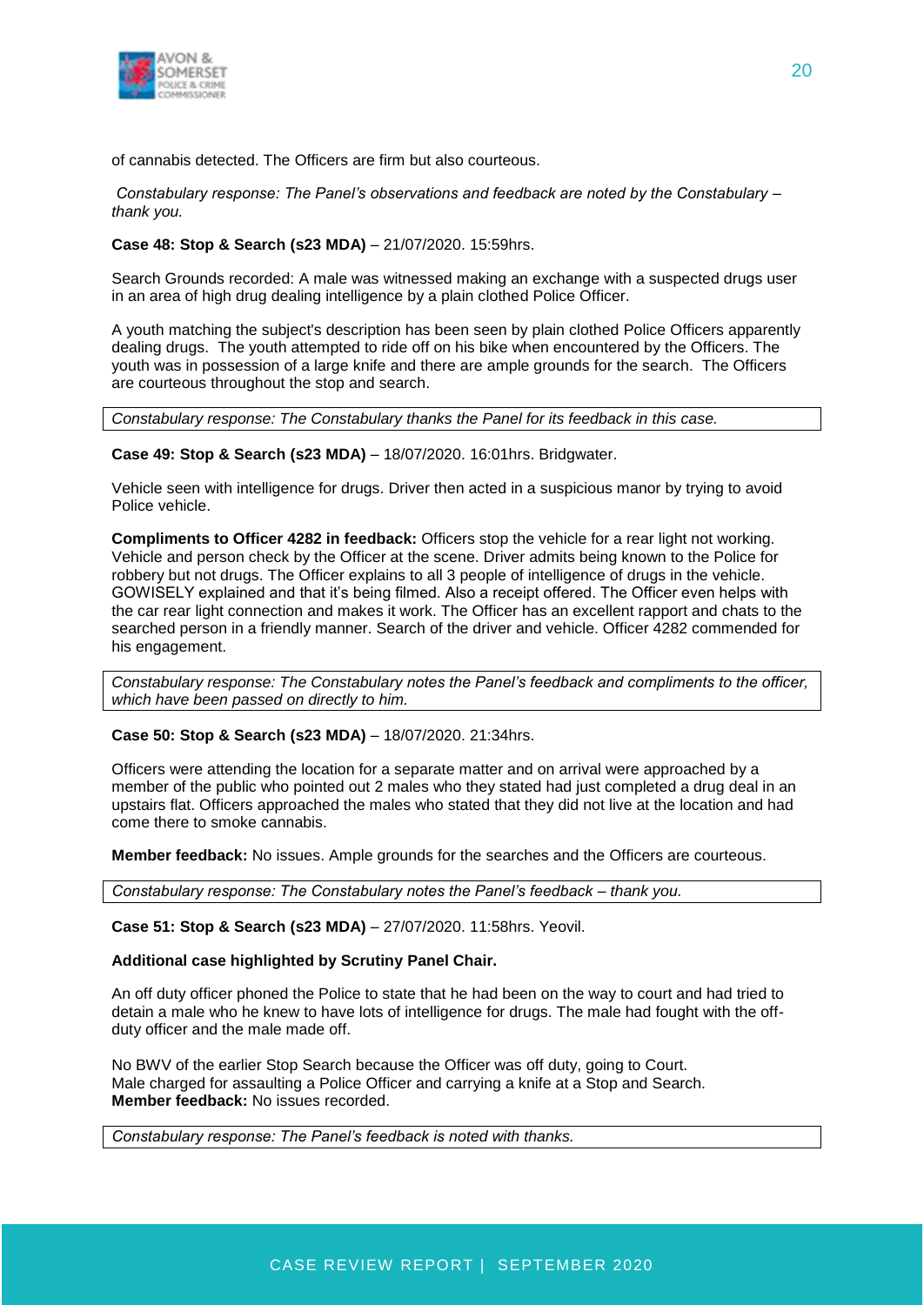

of cannabis detected. The Officers are firm but also courteous.

*Constabulary response: The Panel's observations and feedback are noted by the Constabulary – thank you.*

#### **Case 48: Stop & Search (s23 MDA)** – 21/07/2020. 15:59hrs.

Search Grounds recorded: A male was witnessed making an exchange with a suspected drugs user in an area of high drug dealing intelligence by a plain clothed Police Officer.

A youth matching the subject's description has been seen by plain clothed Police Officers apparently dealing drugs. The youth attempted to ride off on his bike when encountered by the Officers. The youth was in possession of a large knife and there are ample grounds for the search. The Officers are courteous throughout the stop and search.

*Constabulary response: The Constabulary thanks the Panel for its feedback in this case.*

#### **Case 49: Stop & Search (s23 MDA)** – 18/07/2020. 16:01hrs. Bridgwater.

Vehicle seen with intelligence for drugs. Driver then acted in a suspicious manor by trying to avoid Police vehicle.

**Compliments to Officer 4282 in feedback:** Officers stop the vehicle for a rear light not working. Vehicle and person check by the Officer at the scene. Driver admits being known to the Police for robbery but not drugs. The Officer explains to all 3 people of intelligence of drugs in the vehicle. GOWISELY explained and that it's being filmed. Also a receipt offered. The Officer even helps with the car rear light connection and makes it work. The Officer has an excellent rapport and chats to the searched person in a friendly manner. Search of the driver and vehicle. Officer 4282 commended for his engagement.

*Constabulary response: The Constabulary notes the Panel's feedback and compliments to the officer, which have been passed on directly to him.*

#### **Case 50: Stop & Search (s23 MDA)** – 18/07/2020. 21:34hrs.

Officers were attending the location for a separate matter and on arrival were approached by a member of the public who pointed out 2 males who they stated had just completed a drug deal in an upstairs flat. Officers approached the males who stated that they did not live at the location and had come there to smoke cannabis.

**Member feedback:** No issues. Ample grounds for the searches and the Officers are courteous.

*Constabulary response: The Constabulary notes the Panel's feedback – thank you.*

**Case 51: Stop & Search (s23 MDA)** – 27/07/2020. 11:58hrs. Yeovil.

#### **Additional case highlighted by Scrutiny Panel Chair.**

An off duty officer phoned the Police to state that he had been on the way to court and had tried to detain a male who he knew to have lots of intelligence for drugs. The male had fought with the offduty officer and the male made off.

No BWV of the earlier Stop Search because the Officer was off duty, going to Court. Male charged for assaulting a Police Officer and carrying a knife at a Stop and Search. **Member feedback:** No issues recorded.

*Constabulary response: The Panel's feedback is noted with thanks.*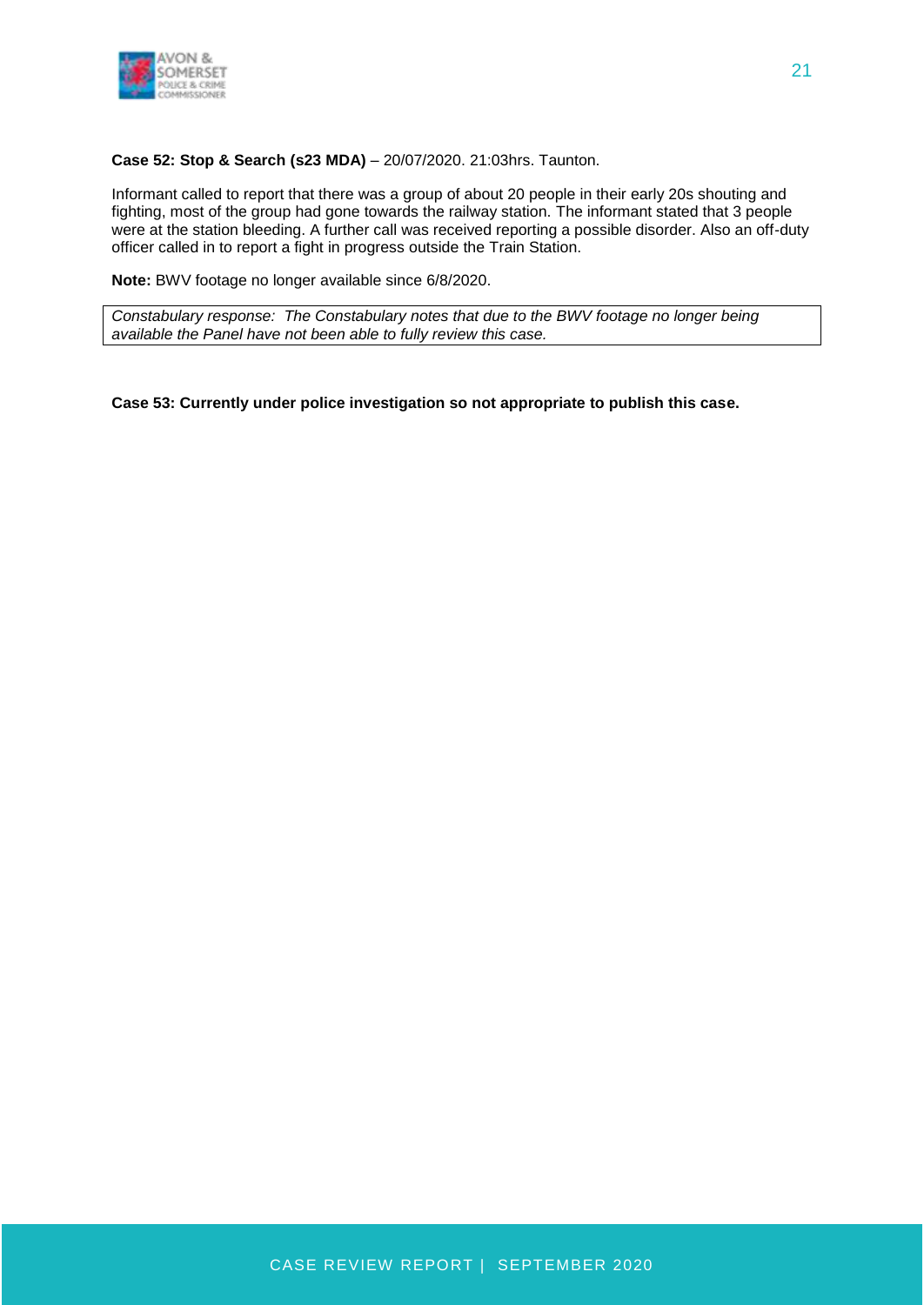

#### **Case 52: Stop & Search (s23 MDA)** – 20/07/2020. 21:03hrs. Taunton.

Informant called to report that there was a group of about 20 people in their early 20s shouting and fighting, most of the group had gone towards the railway station. The informant stated that 3 people were at the station bleeding. A further call was received reporting a possible disorder. Also an off-duty officer called in to report a fight in progress outside the Train Station.

**Note:** BWV footage no longer available since 6/8/2020.

*Constabulary response: The Constabulary notes that due to the BWV footage no longer being available the Panel have not been able to fully review this case.*

#### **Case 53: Currently under police investigation so not appropriate to publish this case.**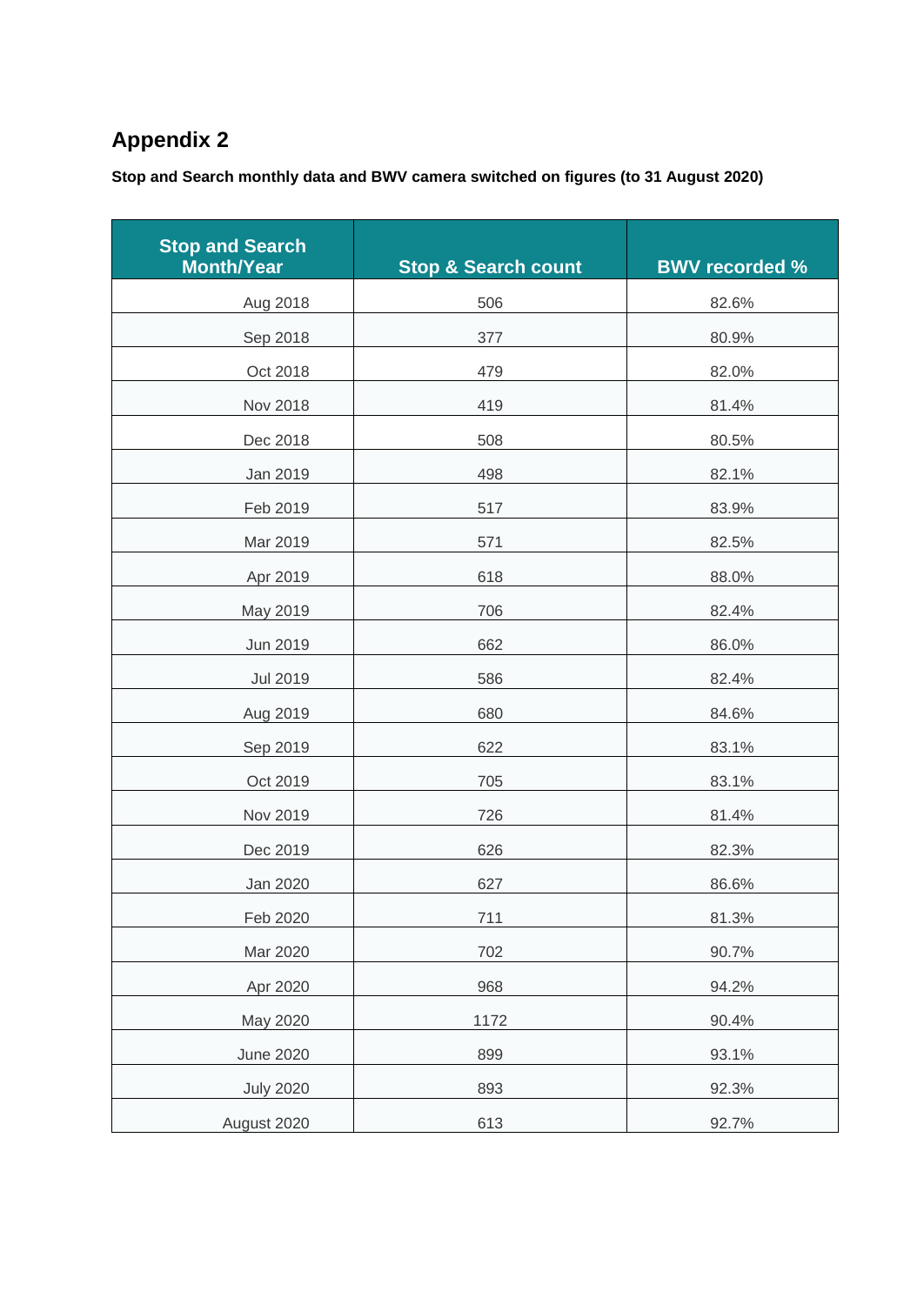# **Appendix 2**

**Stop and Search monthly data and BWV camera switched on figures (to 31 August 2020)**

| <b>Stop and Search</b><br><b>Month/Year</b> | <b>Stop &amp; Search count</b> | <b>BWV recorded %</b> |
|---------------------------------------------|--------------------------------|-----------------------|
| Aug 2018                                    | 506                            | 82.6%                 |
| Sep 2018                                    | 377                            | 80.9%                 |
| Oct 2018                                    | 479                            | 82.0%                 |
| Nov 2018                                    | 419                            | 81.4%                 |
| Dec 2018                                    | 508                            | 80.5%                 |
| Jan 2019                                    | 498                            | 82.1%                 |
| Feb 2019                                    | 517                            | 83.9%                 |
| Mar 2019                                    | 571                            | 82.5%                 |
| Apr 2019                                    | 618                            | 88.0%                 |
| May 2019                                    | 706                            | 82.4%                 |
| Jun 2019                                    | 662                            | 86.0%                 |
| <b>Jul 2019</b>                             | 586                            | 82.4%                 |
| Aug 2019                                    | 680                            | 84.6%                 |
| Sep 2019                                    | 622                            | 83.1%                 |
| Oct 2019                                    | 705                            | 83.1%                 |
| Nov 2019                                    | 726                            | 81.4%                 |
| Dec 2019                                    | 626                            | 82.3%                 |
| Jan 2020                                    | 627                            | 86.6%                 |
| Feb 2020                                    | 711                            | 81.3%                 |
| Mar 2020                                    | 702                            | 90.7%                 |
| Apr 2020                                    | 968                            | 94.2%                 |
| May 2020                                    | 1172                           | 90.4%                 |
| <b>June 2020</b>                            | 899                            | 93.1%                 |
| <b>July 2020</b>                            | 893                            | 92.3%                 |
| August 2020                                 | 613                            | 92.7%                 |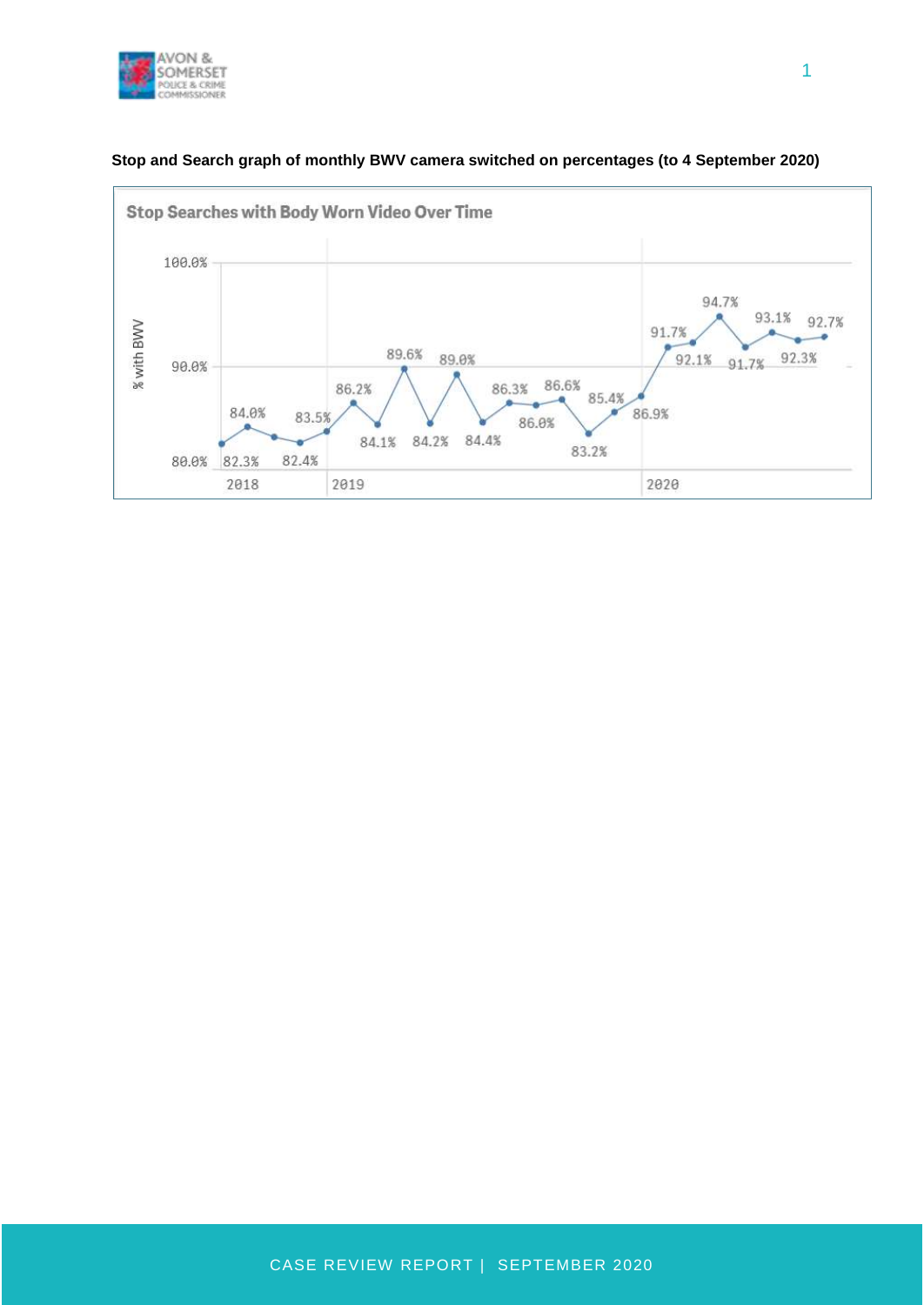



#### **Stop and Search graph of monthly BWV camera switched on percentages (to 4 September 2020)**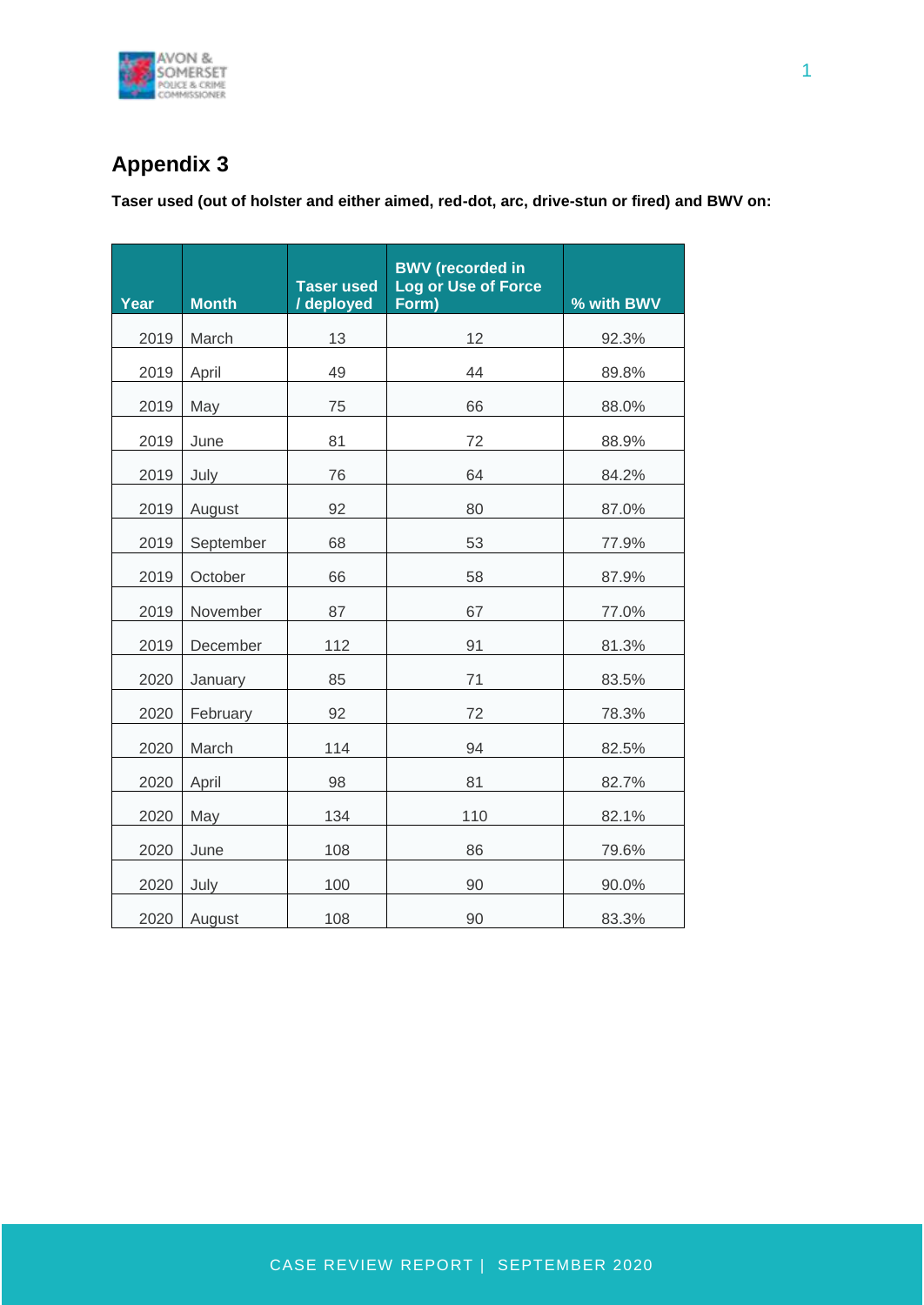

# **Appendix 3**

**Taser used (out of holster and either aimed, red-dot, arc, drive-stun or fired) and BWV on:**

| Year | <b>Month</b> | <b>Taser used</b><br>/ deployed | <b>BWV</b> (recorded in<br><b>Log or Use of Force</b><br>Form) | % with BWV |
|------|--------------|---------------------------------|----------------------------------------------------------------|------------|
| 2019 | March        | 13                              | 12                                                             | 92.3%      |
| 2019 | April        | 49                              | 44                                                             | 89.8%      |
| 2019 | May          | 75                              | 66                                                             | 88.0%      |
| 2019 | June         | 81                              | 72                                                             | 88.9%      |
| 2019 | July         | 76                              | 64                                                             | 84.2%      |
| 2019 | August       | 92                              | 80                                                             | 87.0%      |
| 2019 | September    | 68                              | 53                                                             | 77.9%      |
| 2019 | October      | 66                              | 58                                                             | 87.9%      |
| 2019 | November     | 87                              | 67                                                             | 77.0%      |
| 2019 | December     | 112                             | 91                                                             | 81.3%      |
| 2020 | January      | 85                              | 71                                                             | 83.5%      |
| 2020 | February     | 92                              | 72                                                             | 78.3%      |
| 2020 | March        | 114                             | 94                                                             | 82.5%      |
| 2020 | April        | 98                              | 81                                                             | 82.7%      |
| 2020 | May          | 134                             | 110                                                            | 82.1%      |
| 2020 | June         | 108                             | 86                                                             | 79.6%      |
| 2020 | July         | 100                             | 90                                                             | 90.0%      |
| 2020 | August       | 108                             | 90                                                             | 83.3%      |